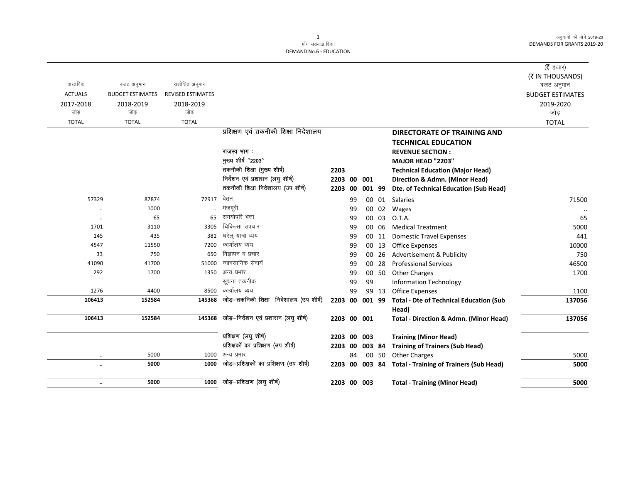|                      |                         |                          |                                          |             |    |        |       |                                                   | ( $\bar{\tau}$ हजार)    |
|----------------------|-------------------------|--------------------------|------------------------------------------|-------------|----|--------|-------|---------------------------------------------------|-------------------------|
|                      |                         |                          |                                          |             |    |        |       |                                                   | (₹ IN THOUSANDS)        |
| वास्तविक             | बजट अनुमान              | संशोधित अनुमान           |                                          |             |    |        |       |                                                   | बजट अनुमान              |
| <b>ACTUALS</b>       | <b>BUDGET ESTIMATES</b> | <b>REVISED ESTIMATES</b> |                                          |             |    |        |       |                                                   | <b>BUDGET ESTIMATES</b> |
| 2017-2018            | 2018-2019               | 2018-2019                |                                          |             |    |        |       |                                                   | 2019-2020               |
| जोड़                 | जोड                     | जोड                      |                                          |             |    |        |       |                                                   | जोड़                    |
| <b>TOTAL</b>         | <b>TOTAL</b>            | <b>TOTAL</b>             |                                          |             |    |        |       |                                                   | <b>TOTAL</b>            |
|                      |                         |                          | प्रशिक्षण एवं तकनीकी शिक्षा निदेशालय     |             |    |        |       | <b>DIRECTORATE OF TRAINING AND</b>                |                         |
|                      |                         |                          |                                          |             |    |        |       | <b>TECHNICAL EDUCATION</b>                        |                         |
|                      |                         |                          | राजस्व भाग:                              |             |    |        |       | <b>REVENUE SECTION:</b>                           |                         |
|                      |                         |                          | मुख्य शीर्ष "2203"                       |             |    |        |       | MAJOR HEAD "2203"                                 |                         |
|                      |                         |                          | तकनीकी शिक्षा (मुख्य शीर्ष)              | 2203        |    |        |       | <b>Technical Education (Major Head)</b>           |                         |
|                      |                         |                          | निर्देशन एवं प्रशासन (लघु शीर्ष)         | 2203 00     |    | 001    |       | Direction & Admn. (Minor Head)                    |                         |
|                      |                         |                          | तकनीकी शिक्षा निदेशालय (उप शीर्ष)        | 2203        | 00 | 001 99 |       | Dte. of Technical Education (Sub Head)            |                         |
| 57329                | 87874                   | 72917                    | वेतन                                     |             | 99 |        | 00 01 | Salaries                                          | 71500                   |
| $\ddotsc$            | 1000                    |                          | मजदूरी                                   |             | 99 |        | 00 02 | Wages                                             |                         |
| $\cdot\cdot$         | 65                      | 65                       | समयोपरि भत्ता                            |             | 99 |        | 00 03 | O.T.A.                                            | 65                      |
| 1701                 | 3110                    | 3305                     | चिकित्सा उपचार                           |             | 99 |        | 00 06 | <b>Medical Treatment</b>                          | 5000                    |
| 145                  | 435                     | 381                      | घरेलू यात्रा व्यय                        |             | 99 |        | 00 11 | <b>Domestic Travel Expenses</b>                   | 441                     |
| 4547                 | 11550                   | 7200                     | कार्यालय व्यय                            |             | 99 |        | 00 13 | <b>Office Expenses</b>                            | 10000                   |
| 33                   | 750                     | 650                      | विज्ञापन व प्रचार                        |             | 99 |        | 00 26 | Advertisement & Publicity                         | 750                     |
| 41090                | 41700                   | 51000                    | व्यावसायिक सेवायें                       |             | 99 |        | 00 28 | <b>Professional Services</b>                      | 46500                   |
| 292                  | 1700                    | 1350                     | अन्य प्रभार                              |             | 99 |        | 00 50 | <b>Other Charges</b>                              | 1700                    |
|                      |                         |                          | सूचना तकनीक                              |             | 99 | 99     |       | <b>Information Technology</b>                     |                         |
| 1276                 | 4400                    | 8500                     | कार्यालय व्यय                            |             | 99 |        | 99 13 | <b>Office Expenses</b>                            | 1100                    |
| 106413               | 152584                  | 145368                   | जोड़—तकनिकी शिक्षा निदेशालय (उप शीर्ष)   | 2203 00     |    | 001 99 |       | <b>Total - Dte of Technical Education (Sub</b>    | 137056                  |
|                      |                         |                          |                                          |             |    |        |       | Head)                                             |                         |
| 106413               | 152584                  | 145368                   | जोड़-निर्देशन एवं प्रशासन (लघु शीर्ष)    | 2203 00 001 |    |        |       | <b>Total - Direction &amp; Admn. (Minor Head)</b> | 137056                  |
|                      |                         |                          | प्रशिक्षण (लघु शीर्ष)                    | 2203 00     |    | 003    |       | <b>Training (Minor Head)</b>                      |                         |
|                      |                         |                          | प्रशिक्षको का प्रशिक्षण (उप शीर्ष)       | 2203 00     |    | 003 84 |       | <b>Training of Trainers (Sub Head)</b>            |                         |
|                      | 5000                    | 1000                     | अन्य प्रभार                              |             | 84 |        | 00 50 | <b>Other Charges</b>                              | 5000                    |
| $\ddot{\phantom{a}}$ | 5000                    | 1000                     | जोड़-प्रशिक्षकों का प्रशिक्षण (उप शीर्ष) | 2203 00     |    | 003 84 |       | <b>Total - Training of Trainers (Sub Head)</b>    | 5000                    |
| $\ldots$             | 5000                    |                          | $1000$ जोड़-प्रशिक्षण (लघु शीर्ष)        | 2203 00 003 |    |        |       | <b>Total - Training (Minor Head)</b>              | 5000                    |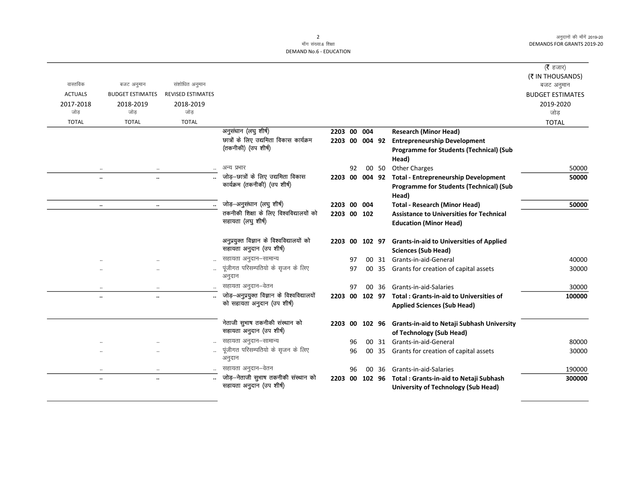|                |                                      |                          |                                             |                |    |                |       |                                                   | ( <b>रै</b> हजार)       |
|----------------|--------------------------------------|--------------------------|---------------------------------------------|----------------|----|----------------|-------|---------------------------------------------------|-------------------------|
|                |                                      |                          |                                             |                |    |                |       |                                                   | (₹ IN THOUSANDS)        |
| वास्तविक       | बजट अनुमान                           | संशोधित अनुमान           |                                             |                |    |                |       |                                                   | बजट अनुमान              |
| <b>ACTUALS</b> | <b>BUDGET ESTIMATES</b>              | <b>REVISED ESTIMATES</b> |                                             |                |    |                |       |                                                   | <b>BUDGET ESTIMATES</b> |
| 2017-2018      | 2018-2019                            | 2018-2019                |                                             |                |    |                |       |                                                   | 2019-2020               |
| जोड            | जोड                                  | जोड                      |                                             |                |    |                |       |                                                   | जोड़                    |
| <b>TOTAL</b>   | <b>TOTAL</b>                         | <b>TOTAL</b>             |                                             |                |    |                |       |                                                   | <b>TOTAL</b>            |
|                |                                      |                          | अनुसंधान (लघु शीर्ष)                        | 2203 00 004    |    |                |       | <b>Research (Minor Head)</b>                      |                         |
|                |                                      |                          | छात्रों के लिए उद्यमिता विकास कार्यक्रम     |                |    | 2203 00 004 92 |       | <b>Entrepreneurship Development</b>               |                         |
|                |                                      |                          | (तकनीकी) (उप शीर्ष)                         |                |    |                |       | <b>Programme for Students (Technical) (Sub</b>    |                         |
|                |                                      |                          |                                             |                |    |                |       | Head)                                             |                         |
|                |                                      |                          | अन्य प्रभार                                 |                | 92 |                | 00 50 | <b>Other Charges</b>                              | 50000                   |
|                | <br>$\ddot{\phantom{0}}$             |                          | जोड़—छात्रों के लिए उद्यमिता विकास          | 2203           |    | 00 004 92      |       | <b>Total - Entrepreneurship Development</b>       | 50000                   |
|                |                                      |                          | कार्यक्रम (तकनीकी) (उप शीर्ष)               |                |    |                |       | Programme for Students (Technical) (Sub           |                         |
|                |                                      |                          |                                             |                |    |                |       | Head)                                             |                         |
|                | $\ddot{\phantom{0}}$<br>$\cdot\cdot$ |                          | जोड़-अनुसंधान (लघु शीर्ष)                   | 2203 00 004    |    |                |       | <b>Total - Research (Minor Head)</b>              | 50000                   |
|                |                                      |                          | तकनीकी शिक्षा के लिए विश्वविद्यालयों को     | 2203 00 102    |    |                |       | <b>Assistance to Universities for Technical</b>   |                         |
|                |                                      |                          | सहायता (लघु शीर्ष)                          |                |    |                |       | <b>Education (Minor Head)</b>                     |                         |
|                |                                      |                          | अनुप्रयुक्त विज्ञान के विश्वविद्यालयों को   | 2203 00 102 97 |    |                |       | <b>Grants-in-aid to Universities of Applied</b>   |                         |
|                |                                      |                          | सहायता अनुदान (उप शीर्ष)                    |                |    |                |       | <b>Sciences (Sub Head)</b>                        |                         |
|                |                                      |                          | सहायता अनुदान-सामान्य                       |                | 97 |                |       | 00 31 Grants-in-aid-General                       | 40000                   |
|                | $\cdot$<br>                          |                          | पूंजीगत परिसम्पतियो के सृजन के लिए          |                | 97 |                |       | 00 35 Grants for creation of capital assets       | 30000                   |
|                |                                      |                          | अनुदान                                      |                |    |                |       |                                                   |                         |
|                | $\ddotsc$<br>$\ddotsc$               |                          | सहायता अनुदान–वेतन                          |                | 97 | nn.            | -36   | Grants-in-aid-Salaries                            | 30000                   |
|                | $\ddotsc$<br>$\cdot\cdot$            |                          | जोड़-अनुप्रयुक्त विज्ञान के विश्वविद्यालयों | 2203 00 102 97 |    |                |       | <b>Total: Grants-in-aid to Universities of</b>    | 100000                  |
|                |                                      |                          | को सहायता अनुदान (उप शीर्ष)                 |                |    |                |       | <b>Applied Sciences (Sub Head)</b>                |                         |
|                |                                      |                          | नेताजी सुभाष तकनीकी संस्थान को              | 2203 00 102 96 |    |                |       | <b>Grants-in-aid to Netaji Subhash University</b> |                         |
|                |                                      |                          | सहायता अनुदान (उप शीर्ष)                    |                |    |                |       | of Technology (Sub Head)                          |                         |
|                |                                      |                          | सहायता अनुदान-सामान्य                       |                | 96 |                | 00 31 | Grants-in-aid-General                             | 80000                   |
|                | $\cdot$<br>                          |                          | पूंजीगत परिसम्पतियो के सृजन के लिए          |                | 96 |                | 00 35 | Grants for creation of capital assets             | 30000                   |
|                |                                      |                          | अनुदान                                      |                |    |                |       |                                                   |                         |
|                | $\cdot\cdot$                         |                          | सहायता अनुदान–वेतन                          |                | 96 | 00             | 36    | Grants-in-aid-Salaries                            | 190000                  |
|                | $\ddot{\phantom{0}}$<br>             |                          | जोड़–नेताजी सुभाष तकनीकी संस्थान को         | 2203           |    |                |       | 00 102 96 Total : Grants-in-aid to Netaji Subhash | 300000                  |
|                |                                      |                          | सहायता अनुदान (उप शीर्ष)                    |                |    |                |       | University of Technology (Sub Head)               |                         |
|                |                                      |                          |                                             |                |    |                |       |                                                   |                         |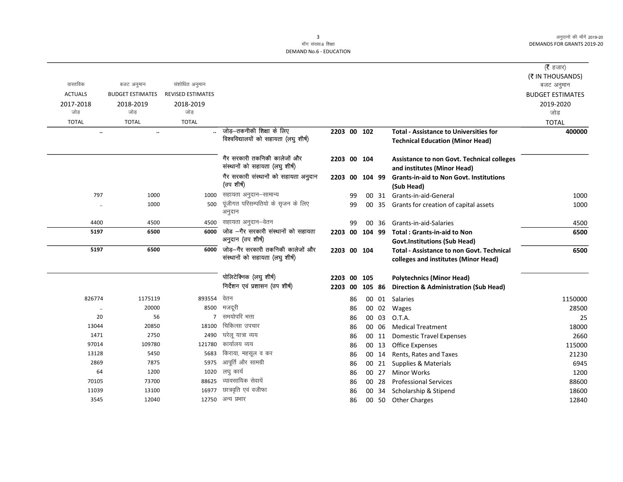|                |                         |                          |                                                     |                |    |           |       |                                                              | ( <b>रै</b> हजार)       |
|----------------|-------------------------|--------------------------|-----------------------------------------------------|----------------|----|-----------|-------|--------------------------------------------------------------|-------------------------|
|                |                         |                          |                                                     |                |    |           |       |                                                              | (₹ IN THOUSANDS)        |
| वास्तविक       | बजट अनुमान              | संशोधित अनुमान           |                                                     |                |    |           |       |                                                              | बजट अनुमान              |
| <b>ACTUALS</b> | <b>BUDGET ESTIMATES</b> | <b>REVISED ESTIMATES</b> |                                                     |                |    |           |       |                                                              | <b>BUDGET ESTIMATES</b> |
| 2017-2018      | 2018-2019               | 2018-2019                |                                                     |                |    |           |       |                                                              | 2019-2020               |
| जोड़           | जोड                     | जोड                      |                                                     |                |    |           |       |                                                              | जोड़                    |
| <b>TOTAL</b>   | <b>TOTAL</b>            | <b>TOTAL</b>             |                                                     |                |    |           |       |                                                              | <b>TOTAL</b>            |
| $\ldots$       | $\ddot{\phantom{a}}$    |                          | जोड़—तकनीकी शिक्षा के लिए                           | 2203 00 102    |    |           |       | <b>Total - Assistance to Universities for</b>                | 400000                  |
|                |                         |                          | विश्वविद्यालयों को सहायता (लघु शीर्ष)               |                |    |           |       | <b>Technical Education (Minor Head)</b>                      |                         |
|                |                         |                          | गैर सरकारी तकनिकी कालेजों और                        | 2203 00 104    |    |           |       | Assistance to non Govt. Technical colleges                   |                         |
|                |                         |                          | संस्थानों को सहायता (लघु शीर्ष)                     |                |    |           |       | and institutes (Minor Head)                                  |                         |
|                |                         |                          | गैर सरकारी संस्थानों को सहायता अनुदान<br>(उप शीर्ष) | 2203           |    | 00 104 99 |       | <b>Grants-in-aid to Non Govt. Institutions</b><br>(Sub Head) |                         |
| 797            | 1000                    | 1000                     | सहायता अनुदान–सामान्य                               |                | 99 |           |       | 00 31 Grants-in-aid-General                                  | 1000                    |
|                | 1000                    | 500                      | पूंजीगत परिसम्पतियो के सृजन के लिए<br>अनुदान        |                | 99 |           | 00 35 | Grants for creation of capital assets                        | 1000                    |
| 4400           | 4500                    | 4500                     | सहायता अनुदान–वेतन                                  |                | 99 |           | 00 36 | Grants-in-aid-Salaries                                       | 4500                    |
| 5197           | 6500                    | 6000                     | जोड -गैर सरकारी संस्थानों को सहायता                 | 2203 00 104 99 |    |           |       | <b>Total: Grants-in-aid to Non</b>                           | 6500                    |
|                |                         |                          | अनुदान (उप शीर्ष)                                   |                |    |           |       | <b>Govt.Institutions (Sub Head)</b>                          |                         |
| 5197           | 6500                    | 6000                     | जोड़—गैर सरकारी तकनिकी कालेजों और                   | 2203 00 104    |    |           |       | <b>Total - Assistance to non Govt. Technical</b>             | 6500                    |
|                |                         |                          | संस्थानों को सहायता (लघु शीर्ष)                     |                |    |           |       | colleges and institutes (Minor Head)                         |                         |
|                |                         |                          | पोलिटेक्निक (लघु शीर्ष)                             | 2203 00 105    |    |           |       | <b>Polytechnics (Minor Head)</b>                             |                         |
|                |                         |                          | निर्देशन एवं प्रशासन (उप शीर्ष)                     | 2203           | 00 | 105 86    |       | <b>Direction &amp; Administration (Sub Head)</b>             |                         |
| 826774         | 1175119                 | 893554                   | वेतन                                                |                | 86 |           |       | 00 01 Salaries                                               | 1150000                 |
| $\ddotsc$      | 20000                   | 8500                     | मजदूरी                                              |                | 86 |           |       | 00 02 Wages                                                  | 28500                   |
| 20             | 56                      | $\overline{7}$           | समयोपरि भत्ता                                       |                | 86 |           | 00 03 | O.T.A.                                                       | 25                      |
| 13044          | 20850                   | 18100                    | चिकित्सा उपचार                                      |                | 86 |           | 00 06 | <b>Medical Treatment</b>                                     | 18000                   |
| 1471           | 2750                    | 2490                     | घरेलू यात्रा व्यय                                   |                | 86 |           |       | 00 11 Domestic Travel Expenses                               | 2660                    |
| 97014          | 109780                  | 121780                   | कार्यालय व्यय                                       |                | 86 |           | 00 13 | <b>Office Expenses</b>                                       | 115000                  |
| 13128          | 5450                    | 5683                     | किराया, महसूल व कर                                  |                | 86 |           | 00 14 | Rents, Rates and Taxes                                       | 21230                   |
| 2869           | 7875                    | 5975                     | आपूर्ति और सामग्री                                  |                | 86 |           | 00 21 | Supplies & Materials                                         | 6945                    |
| 64             | 1200                    | 1020                     | लघु कार्य                                           |                | 86 |           | 00 27 | <b>Minor Works</b>                                           | 1200                    |
| 70105          | 73700                   | 88625                    | व्यावसायिक सेवायें                                  |                | 86 |           | 00 28 | <b>Professional Services</b>                                 | 88600                   |
| 11039          | 13100                   | 16977                    | छात्रवृति एवं वजीफा                                 |                | 86 | 00        | 34    | Scholarship & Stipend                                        | 18600                   |
| 3545           | 12040                   |                          | 12750 अन्य प्रभार                                   |                | 86 |           |       | 00 50 Other Charges                                          | 12840                   |
|                |                         |                          |                                                     |                |    |           |       |                                                              |                         |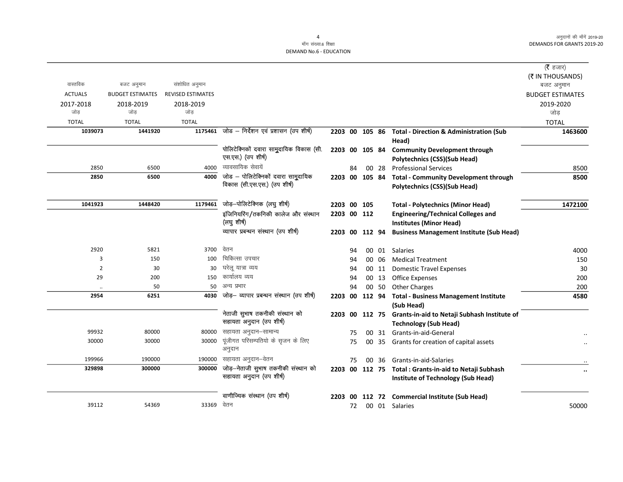$\overline{\phantom{0}}$ 

माँग संख्या.6 शिक्षा DEMAND No.6 - EDUCATION

| वास्तविक         |                         | संशोधित अनुमान           |                                                                     |             |    |                 |       |                                                                                             | ( $\bar{\tau}$ हजार)<br>(₹ IN THOUSANDS)      |
|------------------|-------------------------|--------------------------|---------------------------------------------------------------------|-------------|----|-----------------|-------|---------------------------------------------------------------------------------------------|-----------------------------------------------|
|                  | बजट अनुमान              |                          |                                                                     |             |    |                 |       |                                                                                             | बजट अनुमान                                    |
| <b>ACTUALS</b>   | <b>BUDGET ESTIMATES</b> | <b>REVISED ESTIMATES</b> |                                                                     |             |    |                 |       |                                                                                             | <b>BUDGET ESTIMATES</b>                       |
| 2017-2018<br>जोड | 2018-2019<br>जोड        | 2018-2019<br>जोड         |                                                                     |             |    |                 |       |                                                                                             | 2019-2020<br>जोड                              |
| <b>TOTAL</b>     | <b>TOTAL</b>            | <b>TOTAL</b>             |                                                                     |             |    |                 |       |                                                                                             | <b>TOTAL</b>                                  |
| 1039073          | 1441920                 |                          | $1175461$ जोड - निर्देशन एवं प्रशासन (उप शीर्ष)                     |             |    |                 |       | 2203 00 105 86 Total - Direction & Administration (Sub                                      | 1463600                                       |
|                  |                         |                          |                                                                     |             |    |                 |       | Head)                                                                                       |                                               |
|                  |                         |                          | पोलिटेक्निकों दवारा सामुदायिक विकास (सी.<br>एस.एस.) (उप शीर्ष)      |             |    |                 |       | 2203 00 105 84 Community Development through<br><b>Polytechnics (CSS)(Sub Head)</b>         |                                               |
| 2850             | 6500                    | 4000                     | व्यावसायिक सेवायें                                                  |             | 84 |                 | 00 28 | <b>Professional Services</b>                                                                | 8500                                          |
| 2850             | 6500                    | 4000                     | जोड – पोलिटेक्निकों दवारा सामुदायिक<br>विकास (सी.एस.एस.) (उप शीर्ष) |             |    |                 |       | 2203 00 105 84 Total - Community Development through<br><b>Polytechnics (CSS)(Sub Head)</b> | 8500                                          |
| 1041923          | 1448420                 | 1179461                  | जोड़-पोलिटेक्निक (लघु शीर्ष)                                        | 2203 00 105 |    |                 |       | <b>Total - Polytechnics (Minor Head)</b>                                                    | 1472100                                       |
|                  |                         |                          | इंजिनियरिंग/तकनिकी कालेज और संस्थान                                 | 2203 00 112 |    |                 |       | <b>Engineering/Technical Colleges and</b>                                                   |                                               |
|                  |                         |                          | (लघु शीर्ष)                                                         |             |    |                 |       | <b>Institutes (Minor Head)</b>                                                              |                                               |
|                  |                         |                          | व्यापार प्रबन्धन संस्थान (उप शीर्ष)                                 |             |    | 2203 00 112 94  |       | <b>Business Management Institute (Sub Head)</b>                                             |                                               |
| 2920             | 5821                    | 3700                     | वेतन                                                                |             | 94 |                 | 00 01 | Salaries                                                                                    | 4000                                          |
| 3                | 150                     | 100                      | चिकित्सा उपचार                                                      |             | 94 |                 | 00 06 | <b>Medical Treatment</b>                                                                    | 150                                           |
| $\overline{2}$   | 30                      | 30                       | घरेलू यात्रा व्यय                                                   |             | 94 |                 | 00 11 | <b>Domestic Travel Expenses</b>                                                             | 30                                            |
| 29               | 200                     | 150                      | कार्यालय व्यय                                                       |             | 94 |                 | 00 13 | <b>Office Expenses</b>                                                                      | 200                                           |
|                  | 50                      | 50                       | अन्य प्रभार                                                         |             | 94 |                 | 00 50 | <b>Other Charges</b>                                                                        | 200                                           |
| 2954             | 6251                    | 4030                     | जोड़— व्यापार प्रबन्धन संस्थान (उप शीर्ष)                           | 2203 00     |    | 112 94          |       | <b>Total - Business Management Institute</b><br>(Sub Head)                                  | 4580                                          |
|                  |                         |                          | नेताजी सुभाष तकनीकी संस्थान को<br>सहायता अनुदान (उप शीर्ष)          | 2203        | 00 |                 |       | 112 75 Grants-in-aid to Netaji Subhash Institute of<br><b>Technology (Sub Head)</b>         |                                               |
| 99932            | 80000                   | 80000                    | सहायता अनुदान–सामान्य                                               |             | 75 | 00              |       | 31 Grants-in-aid-General                                                                    |                                               |
| 30000            | 30000                   | 30000                    | पूंजीगत परिसम्पतियो के सृजन के लिए<br>अनुदान                        |             | 75 | 00              | 35    | Grants for creation of capital assets                                                       |                                               |
| 199966           | 190000                  |                          | 190000 सहायता अनुदान–वेतन                                           |             | 75 | 00 <sup>1</sup> | 36    | Grants-in-aid-Salaries                                                                      |                                               |
| 329898           | 300000                  | 300000                   | जोड़—नेताजी सुभाष तकनीकी संस्थान को                                 |             |    |                 |       | 2203 00 112 75 Total: Grants-in-aid to Netaji Subhash                                       | $\ddot{\phantom{0}}\phantom{0}\bullet\bullet$ |
|                  |                         |                          | सहायता अनुदान (उप शीर्ष)                                            |             |    |                 |       | Institute of Technology (Sub Head)                                                          |                                               |
|                  |                         |                          | वाणीज्यिक संस्थान (उप शीर्ष)                                        |             |    |                 |       | 2203 00 112 72 Commercial Institute (Sub Head)                                              |                                               |
| 39112            | 54369                   | 33369 वेतन               |                                                                     |             | 72 |                 |       | 00 01 Salaries                                                                              | 50000                                         |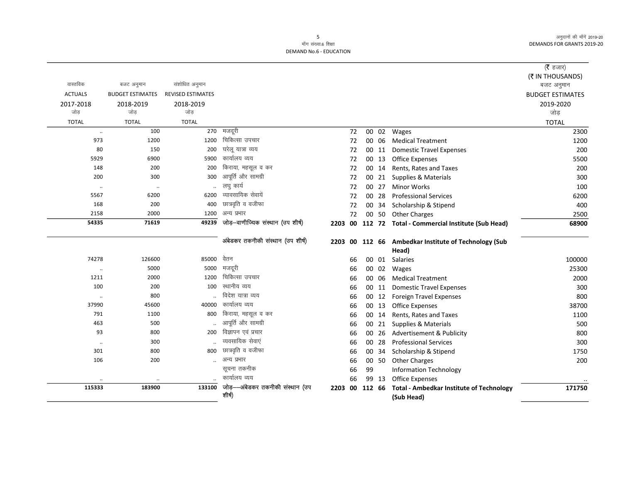# माँग संख्या.6 शिक्षा **DEMAND No.6 - EDUCATION**

|                |                         |                          |                                   |                |    |          |                                                        | ( $\bar{\tau}$ हजार)    |
|----------------|-------------------------|--------------------------|-----------------------------------|----------------|----|----------|--------------------------------------------------------|-------------------------|
|                |                         |                          |                                   |                |    |          |                                                        | (₹ IN THOUSANDS)        |
| वास्तविक       | बजट अनुमान              | संशोधित अनुमान           |                                   |                |    |          |                                                        | बजट अनुमान              |
| <b>ACTUALS</b> | <b>BUDGET ESTIMATES</b> | <b>REVISED ESTIMATES</b> |                                   |                |    |          |                                                        | <b>BUDGET ESTIMATES</b> |
| 2017-2018      | 2018-2019               | 2018-2019                |                                   |                |    |          |                                                        | 2019-2020               |
| जोड            | जोड़                    | जोड                      |                                   |                |    |          |                                                        | जोड़                    |
| <b>TOTAL</b>   | <b>TOTAL</b>            | <b>TOTAL</b>             |                                   |                |    |          |                                                        | <b>TOTAL</b>            |
| $\ldots$       | 100                     | 270                      | मजदूरी                            | 72             |    | 00 02    | Wages                                                  | 2300                    |
| 973            | 1200                    | 1200                     | चिकित्सा उपचार                    | 72             |    | 00 06    | <b>Medical Treatment</b>                               | 1200                    |
| 80             | 150                     | 200                      | घरेलू यात्रा व्यय                 | 72             |    | 00 11    | <b>Domestic Travel Expenses</b>                        | 200                     |
| 5929           | 6900                    | 5900                     | कार्यालय व्यय                     | 72             |    | 00 13    | Office Expenses                                        | 5500                    |
| 148            | 200                     | 200                      | किराया, महसूल व कर                | 72             |    | 00 14    | Rents, Rates and Taxes                                 | 200                     |
| 200            | 300                     | 300                      | आपूर्ति और सामग्री                | 72             |    | 00 21    | Supplies & Materials                                   | 300                     |
| $\ldots$       | $\cdot\cdot$            |                          | लघु कार्य                         | 72             |    | 00 27    | <b>Minor Works</b>                                     | 100                     |
| 5567           | 6200                    | 6200                     | व्यावसायिक सेवायें                | 72             |    | 00 28    | <b>Professional Services</b>                           | 6200                    |
| 168            | 200                     | 400                      | छात्रवृति व वजीफा                 | 72             |    | 00 34    | Scholarship & Stipend                                  | 400                     |
| 2158           | 2000                    | 1200                     | अन्य प्रभार                       | 72             |    |          | 00 50 Other Charges                                    | 2500                    |
| 54335          | 71619                   | 49239                    | जोड़-वाणीज्यिक संस्थान (उप शीर्ष) |                |    |          | 2203 00 112 72 Total - Commercial Institute (Sub Head) | 68900                   |
|                |                         |                          |                                   |                |    |          |                                                        |                         |
|                |                         |                          | अंबेडकर तकनीकी संस्थान (उप शीर्ष) |                |    |          | 2203 00 112 66 Ambedkar Institute of Technology (Sub   |                         |
|                |                         |                          |                                   |                |    |          | Head)                                                  |                         |
| 74278          | 126600                  | 85000                    | वेतन                              | 66             |    | 00 01    | Salaries                                               | 100000                  |
| $\ddotsc$      | 5000                    | 5000                     | मजदूरी                            | 66             | 00 | 02       | Wages                                                  | 25300                   |
| 1211           | 2000                    | 1200                     | चिकित्सा उपचार                    | 66             | 00 | 06       | <b>Medical Treatment</b>                               | 2000                    |
| 100            | 200                     | 100                      | स्थानीय व्यय                      | 66             |    | 00<br>11 | <b>Domestic Travel Expenses</b>                        | 300                     |
| $\ddotsc$      | 800                     |                          | विदेश यात्रा व्यय                 | 66             | 00 | 12       | <b>Foreign Travel Expenses</b>                         | 800                     |
| 37990          | 45600                   | 40000                    | कार्यालय व्यय                     | 66             |    | 00 13    | <b>Office Expenses</b>                                 | 38700                   |
| 791            | 1100                    | 800                      | किराया, महसूल व कर                | 66             |    | 00<br>14 | Rents, Rates and Taxes                                 | 1100                    |
| 463            | 500                     |                          | आपूर्ति और सामग्री                | 66             |    | 00 21    | Supplies & Materials                                   | 500                     |
| 93             | 800                     | 200                      | विज्ञापन एवं प्रचार               | 66             |    | 26<br>00 | Advertisement & Publicity                              | 800                     |
| $\ddotsc$      | 300                     |                          | व्यवसायिक सेवाएं                  | 66             |    | 00 28    | <b>Professional Services</b>                           | 300                     |
| 301            | 800                     | 800                      | छात्रवृति व वजीफा                 | 66             |    | 00 34    | Scholarship & Stipend                                  | 1750                    |
| 106            | 200                     |                          | अन्य प्रभार                       | 66             |    |          | 00 50 Other Charges                                    | 200                     |
|                |                         |                          | सूचना तकनीक                       | 66             | 99 |          | <b>Information Technology</b>                          |                         |
|                |                         |                          | कार्यालय व्यय                     | 66             |    | 99 13    | <b>Office Expenses</b>                                 |                         |
| 115333         | 183900                  | 133100                   | जोड़—अंबेडकर तकनीकी संस्थान (उप   | 2203 00 112 66 |    |          | <b>Total - Ambedkar Institute of Technology</b>        | 171750                  |
|                |                         |                          | शीर्ष)                            |                |    |          | (Sub Head)                                             |                         |

 $5\phantom{a}$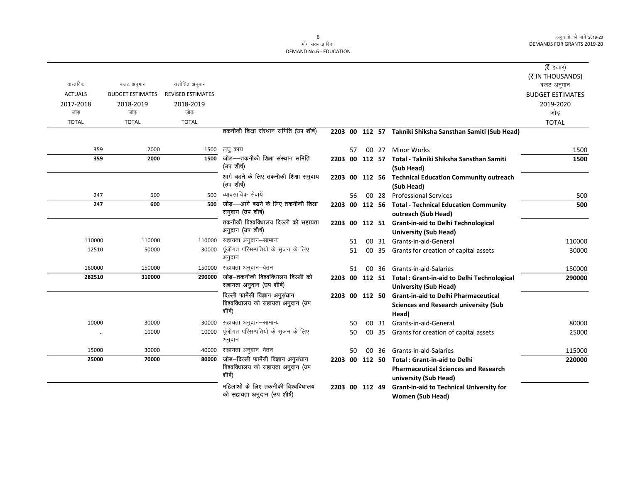माँग संख्या.6 शिक्षा DEMAND No.6 - EDUCATION

|                |                         |                          |                                                               |                |    |                |       |                                                                                            | ( $\bar{\tau}$ हजार)<br>(₹ IN THOUSANDS) |
|----------------|-------------------------|--------------------------|---------------------------------------------------------------|----------------|----|----------------|-------|--------------------------------------------------------------------------------------------|------------------------------------------|
| वास्तविक       | बजट अनुमान              | संशोधित अनुमान           |                                                               |                |    |                |       |                                                                                            | बजट अनुमान                               |
| <b>ACTUALS</b> | <b>BUDGET ESTIMATES</b> | <b>REVISED ESTIMATES</b> |                                                               |                |    |                |       |                                                                                            | <b>BUDGET ESTIMATES</b>                  |
| 2017-2018      | 2018-2019               | 2018-2019                |                                                               |                |    |                |       |                                                                                            | 2019-2020                                |
| जोड            | जोड                     | जोड                      |                                                               |                |    |                |       |                                                                                            | जोड                                      |
| <b>TOTAL</b>   | <b>TOTAL</b>            | <b>TOTAL</b>             |                                                               |                |    |                |       |                                                                                            | <b>TOTAL</b>                             |
|                |                         |                          | तकनीकी शिक्षा संस्थान समिति (उप शीर्ष)                        |                |    |                |       | 2203 00 112 57 Takniki Shiksha Sansthan Samiti (Sub Head)                                  |                                          |
| 359            | 2000                    |                          | 1500 लघु कार्य                                                |                | 57 |                | 00 27 | <b>Minor Works</b>                                                                         | 1500                                     |
| 359            | 2000                    | 1500                     | जोड़—तकनीकी शिक्षा संस्थान समिति                              | 2203 00        |    |                |       | 112 57 Total - Takniki Shiksha Sansthan Samiti                                             | 1500                                     |
|                |                         |                          | (उप शीर्ष)                                                    |                |    |                |       | (Sub Head)                                                                                 |                                          |
|                |                         |                          | आगे बढने के लिए तकनीकी शिक्षा समुदाय                          |                |    |                |       | 2203 00 112 56 Technical Education Community outreach                                      |                                          |
|                |                         |                          | (उप शीर्ष)                                                    |                |    |                |       | (Sub Head)                                                                                 |                                          |
| 247            | 600                     | 500                      | व्यावसायिक सेवायें                                            |                | 56 |                | 00 28 | <b>Professional Services</b>                                                               | 500                                      |
| 247            | 600                     | 500                      | जोड़-अागे बढने के लिए तकनीकी शिक्षा<br>समुदाय (उप शीर्ष)      |                |    |                |       | 2203 00 112 56 Total - Technical Education Community<br>outreach (Sub Head)                | 500                                      |
|                |                         |                          | तकनीकी विश्वविधालय दिल्ली को सहायता                           |                |    |                |       | 2203 00 112 51 Grant-in-aid to Delhi Technological                                         |                                          |
|                |                         |                          | अनुदान (उप शीर्ष)                                             |                |    |                |       | <b>University (Sub Head)</b>                                                               |                                          |
| 110000         | 110000                  |                          | 110000 सहायता अनुदान-सामान्य                                  |                | 51 |                |       | 00 31 Grants-in-aid-General                                                                | 110000                                   |
| 12510          | 50000                   | 30000                    | पूंजीगत परिसम्पतियो के सृजन के लिए<br>अनुदान                  |                | 51 |                |       | 00 35 Grants for creation of capital assets                                                | 30000                                    |
| 160000         | 150000                  |                          | 150000 सहायता अनुदान–वेतन                                     |                | 51 |                | 00 36 | Grants-in-aid-Salaries                                                                     | 150000                                   |
| 282510         | 310000                  | 290000                   | जोड़—तकनीकी विश्वविधालय दिल्ली को<br>सहायता अनुदान (उप शीर्ष) |                |    |                |       | 2203 00 112 51 Total : Grant-in-aid to Delhi Technological<br><b>University (Sub Head)</b> | 290000                                   |
|                |                         |                          | दिल्ली फार्मेसी विज्ञान अनुसंधान                              |                |    | 2203 00 112 50 |       | <b>Grant-in-aid to Delhi Pharmaceutical</b>                                                |                                          |
|                |                         |                          | विश्वविधालय को सहायता अनुदान (उप                              |                |    |                |       | <b>Sciences and Research university (Sub</b>                                               |                                          |
|                |                         |                          | शीर्ष)                                                        |                |    |                |       | Head)                                                                                      |                                          |
| 10000          | 30000                   | 30000                    | सहायता अनुदान–सामान्य                                         |                | 50 |                |       | 00 31 Grants-in-aid-General                                                                | 80000                                    |
| $\ddotsc$      | 10000                   | 10000                    | पूंजीगत परिसम्पतियो के सृजन के लिए<br>अनुदान                  |                | 50 | 00             | 35    | Grants for creation of capital assets                                                      | 25000                                    |
| 15000          | 30000                   |                          | 40000 सहायता अनुदान–वेतन                                      |                | 50 |                | 00 36 | Grants-in-aid-Salaries                                                                     | 115000                                   |
| 25000          | 70000                   | 80000                    | जोड़-दिल्ली फार्मेसी विज्ञान अनुसंधान                         | 2203 00 112 50 |    |                |       | <b>Total: Grant-in-aid to Delhi</b>                                                        | 220000                                   |
|                |                         |                          | विश्वविधालय को सहायता अनुदान (उप                              |                |    |                |       | <b>Pharmaceutical Sciences and Research</b>                                                |                                          |
|                |                         |                          | शीर्ष)                                                        |                |    |                |       | university (Sub Head)                                                                      |                                          |
|                |                         |                          | महिलाओं के लिए तकनीकी विश्वविधालय                             |                |    | 2203 00 112 49 |       | <b>Grant-in-aid to Technical University for</b>                                            |                                          |
|                |                         |                          | को सहायता अनुदान (उप शीर्ष)                                   |                |    |                |       | <b>Women (Sub Head)</b>                                                                    |                                          |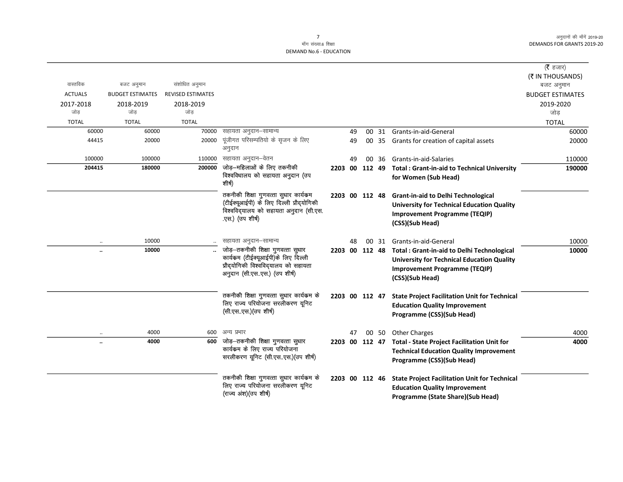## माँग संख्या.6 शिक्षा **DEMAND No.6 - EDUCATION**

|                  |                               |                          |                                                                                                                                                |                |    |                 |       |                                                                                                                                                                   | (रै हजार)<br>(₹ IN THOUSANDS) |
|------------------|-------------------------------|--------------------------|------------------------------------------------------------------------------------------------------------------------------------------------|----------------|----|-----------------|-------|-------------------------------------------------------------------------------------------------------------------------------------------------------------------|-------------------------------|
| वास्तविक         | बजट अनुमान                    | संशोधित अनुमान           |                                                                                                                                                |                |    |                 |       |                                                                                                                                                                   | बजट अनुमान                    |
| <b>ACTUALS</b>   | <b>BUDGET ESTIMATES</b>       | <b>REVISED ESTIMATES</b> |                                                                                                                                                |                |    |                 |       |                                                                                                                                                                   | <b>BUDGET ESTIMATES</b>       |
| 2017-2018<br>जोड | 2018-2019<br>जोड              | 2018-2019<br>जोड         |                                                                                                                                                |                |    |                 |       |                                                                                                                                                                   | 2019-2020<br>जोड              |
| <b>TOTAL</b>     | <b>TOTAL</b>                  | <b>TOTAL</b>             |                                                                                                                                                |                |    |                 |       |                                                                                                                                                                   | <b>TOTAL</b>                  |
|                  | 60000<br>60000                | 70000                    | सहायता अनुदान–सामान्य                                                                                                                          |                | 49 |                 | 00 31 | Grants-in-aid-General                                                                                                                                             | 60000                         |
|                  | 44415<br>20000                | 20000                    | पूंजीगत परिसम्पतियो के सृजन के लिए<br>अनुदान                                                                                                   |                | 49 |                 |       | 00 35 Grants for creation of capital assets                                                                                                                       | 20000                         |
|                  | 100000<br>100000              | 110000                   | सहायता अनुदान–वेतन                                                                                                                             |                | 49 | 00 <sup>1</sup> | -36   | Grants-in-aid-Salaries                                                                                                                                            | 110000                        |
|                  | 180000<br>204415              | 200000                   | जोड़–महिलाओं के लिए तकनीकी                                                                                                                     | 2203 00 112 49 |    |                 |       | <b>Total: Grant-in-aid to Technical University</b>                                                                                                                | 190000                        |
|                  |                               |                          | विश्वविधालय को सहायता अनुदान (उप<br>शीर्ष)                                                                                                     |                |    |                 |       | for Women (Sub Head)                                                                                                                                              |                               |
|                  |                               |                          | तकनीकी शिक्षा गुणवत्ता सुधार कार्यकम<br>(टीईक्यूआईपी) के लिए दिल्ली प्रौदयोगिकी<br>विश्वविद्यालय को सहायता अनुदान (सी.एस.<br>.एस.) (उप शीर्ष)  | 2203 00 112 48 |    |                 |       | <b>Grant-in-aid to Delhi Technological</b><br><b>University for Technical Education Quality</b><br><b>Improvement Programme (TEQIP)</b><br>(CSS)(Sub Head)        |                               |
|                  | 10000<br>$\ddotsc$            |                          | सहायता अनुदान–सामान्य                                                                                                                          |                | 48 |                 | 00 31 | Grants-in-aid-General                                                                                                                                             | 10000                         |
|                  | 10000<br>$\ddot{\phantom{a}}$ |                          | जोड़-तकनीकी शिक्षा गुणवत्ता सुधार<br>कार्यकम (टीईक्यूआईपी)के लिए दिल्ली<br>प्रौदयोगिकी विश्वविद्यालय को सहायता<br>अनुदान (सी.एसएस.) (उप शीर्ष) | 2203 00 112 48 |    |                 |       | <b>Total: Grant-in-aid to Delhi Technological</b><br><b>University for Technical Education Quality</b><br><b>Improvement Programme (TEQIP)</b><br>(CSS)(Sub Head) | 10000                         |
|                  |                               |                          | तकनीकी शिक्षा गुणवत्ता सुधार कार्यकम के<br>लिए राज्य परियोजना सरलीकरण यूनिट<br>(सी.एसएस.) (उप शीर्ष)                                           | 2203 00 112 47 |    |                 |       | <b>State Project Facilitation Unit for Technical</b><br><b>Education Quality Improvement</b><br>Programme (CSS)(Sub Head)                                         |                               |
|                  | 4000<br>$\ddot{\phantom{0}}$  | 600                      | अन्य प्रभार                                                                                                                                    |                | 47 |                 |       | 00 50 Other Charges                                                                                                                                               | 4000                          |
|                  | 4000<br>                      | 600                      | जोड़-तकनीकी शिक्षा गुणवत्ता सुधार<br>कार्यक्रम के लिए राज्य परियोजना<br>सरलीकरण यूनिट (सी.एसएस.) (उप शीर्ष)                                    |                |    |                 |       | 2203 00 112 47 Total - State Project Facilitation Unit for<br><b>Technical Education Quality Improvement</b><br>Programme (CSS)(Sub Head)                         | 4000                          |
|                  |                               |                          | तकनीकी शिक्षा गुणवत्ता सुधार कार्यकम के<br>लिए राज्य परियोजना सरलीकरण यूनिट<br>(राज्य अंश) (उप शीर्ष)                                          | 2203 00 112 46 |    |                 |       | <b>State Project Facilitation Unit for Technical</b><br><b>Education Quality Improvement</b><br>Programme (State Share)(Sub Head)                                 |                               |

 $7\overline{ }$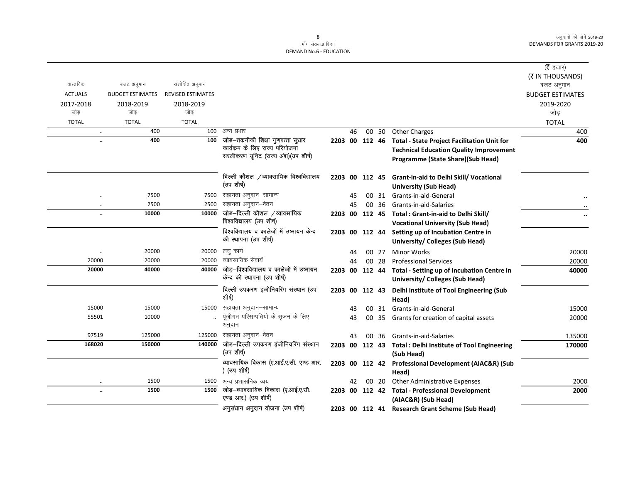# माँग संख्या.6 शिक्षा DEMAND No.6 - EDUCATION

|                |                         |                          |                                                       |                |    |                |       |                                                                  | ( <b>रै</b> हजार)       |
|----------------|-------------------------|--------------------------|-------------------------------------------------------|----------------|----|----------------|-------|------------------------------------------------------------------|-------------------------|
|                |                         |                          |                                                       |                |    |                |       |                                                                  | (₹ IN THOUSANDS)        |
| वास्तविक       | बजट अनुमान              | संशोधित अनुमान           |                                                       |                |    |                |       |                                                                  | बजट अनुमान              |
| <b>ACTUALS</b> | <b>BUDGET ESTIMATES</b> | <b>REVISED ESTIMATES</b> |                                                       |                |    |                |       |                                                                  | <b>BUDGET ESTIMATES</b> |
| 2017-2018      | 2018-2019               | 2018-2019                |                                                       |                |    |                |       |                                                                  | 2019-2020               |
| जोड            | जोड                     | जोड                      |                                                       |                |    |                |       |                                                                  | जोड                     |
| <b>TOTAL</b>   | <b>TOTAL</b>            | <b>TOTAL</b>             |                                                       |                |    |                |       |                                                                  | <b>TOTAL</b>            |
|                | 400<br>$\ddotsc$        | 100                      | अन्य प्रभार                                           |                | 46 |                | 00 50 | <b>Other Charges</b>                                             | 400                     |
|                | 400<br>                 | 100                      | जोड़-तकनीकी शिक्षा गुणवत्ता सुधार                     | 2203 00 112 46 |    |                |       | <b>Total - State Project Facilitation Unit for</b>               | 400                     |
|                |                         |                          | कार्यकम के लिए राज्य परियोजना                         |                |    |                |       | <b>Technical Education Quality Improvement</b>                   |                         |
|                |                         |                          | सरलीकरण यूनिट (राज्य अंश)(उप शीर्ष)                   |                |    |                |       | Programme (State Share)(Sub Head)                                |                         |
|                |                         |                          | दिल्ली कौशल /व्यावसायिक विश्वविद्यालय                 |                |    | 2203 00 112 45 |       | <b>Grant-in-aid to Delhi Skill/ Vocational</b>                   |                         |
|                |                         |                          | (उप शीर्ष)                                            |                |    |                |       | <b>University (Sub Head)</b>                                     |                         |
|                | 7500<br>$\ddotsc$       | 7500                     | सहायता अनुदान–सामान्य                                 |                | 45 |                | 00 31 | Grants-in-aid-General                                            |                         |
|                | 2500<br>$\ddotsc$       | 2500                     | सहायता अनुदान–वेतन                                    |                | 45 |                | 00 36 | Grants-in-aid-Salaries                                           |                         |
|                | 10000<br>               | 10000                    | जोड़-दिल्ली कौशल /व्यावसायिक                          |                |    |                |       | 2203 00 112 45 Total : Grant-in-aid to Delhi Skill/              |                         |
|                |                         |                          | विश्वविद्यालय (उप शीर्ष)                              |                |    |                |       | <b>Vocational University (Sub Head)</b>                          |                         |
|                |                         |                          | विश्वविद्यालय व कालेजों में उष्मायन केन्द             |                |    |                |       | 2203 00 112 44 Setting up of Incubation Centre in                |                         |
|                |                         |                          | की स्थापना (उप शीर्ष)                                 |                |    |                |       | University/ Colleges (Sub Head)                                  |                         |
|                | 20000<br>$\cdot\cdot$   | 20000                    | लघु कार्य                                             |                | 44 |                | 00 27 | <b>Minor Works</b>                                               | 20000                   |
| 20000          | 20000                   | 20000                    | व्यावसायिक सेवायें                                    |                | 44 |                | 00 28 | <b>Professional Services</b>                                     | 20000                   |
| 20000          | 40000                   | 40000                    | जोड़–विश्वविद्यालय व कालेजों में उष्मायन              |                |    | 2203 00 112 44 |       | Total - Setting up of Incubation Centre in                       | 40000                   |
|                |                         |                          | केन्द की स्थापना (उप शीर्ष)                           |                |    |                |       | University/Colleges (Sub Head)                                   |                         |
|                |                         |                          | दिल्ली उपकरण इंजीनियरिंग संस्थान (उप<br>शीर्ष)        |                |    |                |       | 2203 00 112 43 Delhi Institute of Tool Engineering (Sub<br>Head) |                         |
| 15000          | 15000                   | 15000                    | सहायता अनुदान–सामान्य                                 |                | 43 |                |       | 00 31 Grants-in-aid-General                                      | 15000                   |
| 55501          | 10000                   |                          | पूंजीगत परिसम्पतियो के सृजन के लिए                    |                | 43 |                |       | 00 35 Grants for creation of capital assets                      | 20000                   |
|                |                         |                          | अनुदान                                                |                |    |                |       |                                                                  |                         |
| 97519          | 125000                  | 125000                   | सहायता अनुदान–वेतन                                    |                | 43 |                | 00 36 | Grants-in-aid-Salaries                                           | 135000                  |
| 168020         | 150000                  | 140000                   | जोड़-दिल्ली उपकरण इंजीनियरिंग संस्थान                 |                |    |                |       | 2203 00 112 43 Total : Delhi Institute of Tool Engineering       | 170000                  |
|                |                         |                          | (उप शीर्ष)                                            |                |    |                |       | (Sub Head)                                                       |                         |
|                |                         |                          | व्यावसायिक विकास (ए.आई.ए.सी. एण्ड आर.<br>) (उप शीर्ष) |                |    |                |       | 2203 00 112 42 Professional Development (AIAC&R) (Sub<br>Head)   |                         |
|                | 1500<br>$\ddotsc$       | 1500                     | अन्य प्रशासनिक व्यय                                   |                | 42 |                | 00 20 | Other Administrative Expenses                                    | 2000                    |
|                | 1500<br>                | 1500                     | जोड़–व्यावसायिक विकास (ए.आई.ए.सी.                     |                |    |                |       | 2203 00 112 42 Total - Professional Development                  | 2000                    |
|                |                         |                          | एण्ड आर.) (उप शीर्ष)                                  |                |    |                |       | (AIAC&R) (Sub Head)                                              |                         |
|                |                         |                          | अनुसंधान अनुदान योजना (उप शीर्ष)                      |                |    |                |       | 2203 00 112 41 Research Grant Scheme (Sub Head)                  |                         |

8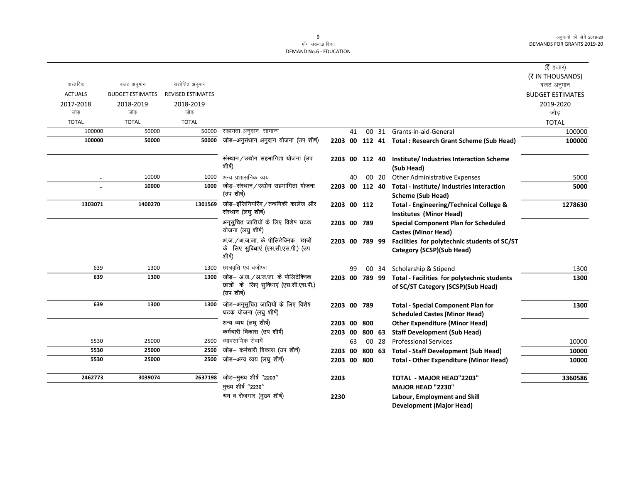|                |                         |                          |                                                                                           |                |    |        |       |                                                                                   | ( $\bar{\tau}$ हजार)    |
|----------------|-------------------------|--------------------------|-------------------------------------------------------------------------------------------|----------------|----|--------|-------|-----------------------------------------------------------------------------------|-------------------------|
|                |                         |                          |                                                                                           |                |    |        |       |                                                                                   | (₹ IN THOUSANDS)        |
| वास्तविक       | बजट अनुमान              | संशोधित अनुमान           |                                                                                           |                |    |        |       |                                                                                   | बजट अनुमान              |
| <b>ACTUALS</b> | <b>BUDGET ESTIMATES</b> | <b>REVISED ESTIMATES</b> |                                                                                           |                |    |        |       |                                                                                   | <b>BUDGET ESTIMATES</b> |
| 2017-2018      | 2018-2019               | 2018-2019                |                                                                                           |                |    |        |       |                                                                                   | 2019-2020               |
| जोड            | जोड                     | जोड                      |                                                                                           |                |    |        |       |                                                                                   | जोड                     |
| <b>TOTAL</b>   | <b>TOTAL</b>            | <b>TOTAL</b>             |                                                                                           |                |    |        |       |                                                                                   | <b>TOTAL</b>            |
| 100000         | 50000                   | 50000                    | सहायता अनुदान–सामान्य                                                                     |                | 41 |        |       | 00 31 Grants-in-aid-General                                                       | 100000                  |
| 100000         | 50000                   | 50000                    | जोड़-अनुसंधान अनुदान योजना (उप शीर्ष)                                                     |                |    |        |       | 2203 00 112 41 Total : Research Grant Scheme (Sub Head)                           | 100000                  |
|                |                         |                          | संस्थान/उद्योग सहभागिता योजना (उप<br>शीर्ष)                                               | 2203 00 112 40 |    |        |       | Institute/Industries Interaction Scheme<br>(Sub Head)                             |                         |
| $\cdot\cdot$   | 10000                   | 1000                     | अन्य प्रशासनिक व्यय                                                                       |                | 40 |        | 00 20 | <b>Other Administrative Expenses</b>                                              | 5000                    |
|                | 10000                   | 1000                     | जोड़–संस्थान/उद्योग सहभागिता योजना<br>(उप शीर्ष)                                          | 2203 00 112 40 |    |        |       | Total - Institute/ Industries Interaction<br><b>Scheme (Sub Head)</b>             | 5000                    |
| 1303071        | 1400270                 | 1301569                  | जोड़-इंजिनियरिंग/तकनिकी कालेज और<br>संस्थान (लघु शीर्ष)                                   | 2203 00 112    |    |        |       | Total - Engineering/Technical College &<br>Institutes (Minor Head)                | 1278630                 |
|                |                         |                          | अनूसुचित जातियों के लिए विशेष घटक<br>योजना (लघु शीर्ष)                                    | 2203 00 789    |    |        |       | <b>Special Component Plan for Scheduled</b><br><b>Castes (Minor Head)</b>         |                         |
|                |                         |                          | अ.ज./अ.ज.जा. के पोलिटेक्निक छात्रों<br>के लिए सुविधाएं (एस.सी.एस.पी.) (उप<br>शीर्ष)       | 2203 00 789 99 |    |        |       | Facilities for polytechnic students of SC/ST<br>Category (SCSP)(Sub Head)         |                         |
| 639            | 1300                    | 1300                     | छात्रवृति एवं वजीफा                                                                       |                | 99 |        |       | 00 34 Scholarship & Stipend                                                       | 1300                    |
| 639            | 1300                    | 1300                     | जोड़– अ.ज./अ.ज.जा. के पोलिटेक्निक<br>छात्रों के लिए सुविधाएं (एस.सी.एस.पी.)<br>(उप शीर्ष) | 2203 00 789 99 |    |        |       | Total - Facilities for polytechnic students<br>of SC/ST Category (SCSP)(Sub Head) | 1300                    |
| 639            | 1300                    | 1300                     | जोड़—अनूसुचित जातियों के लिए विशेष<br>घटक योजना (लघु शीर्ष)                               | 2203 00 789    |    |        |       | <b>Total - Special Component Plan for</b><br><b>Scheduled Castes (Minor Head)</b> | 1300                    |
|                |                         |                          | अन्य व्यय (लघु शीर्ष)                                                                     | 2203 00        |    | 800    |       | <b>Other Expenditure (Minor Head)</b>                                             |                         |
|                |                         |                          | कर्मचारी विकास (उप शीर्ष)                                                                 | 2203 00        |    | 800 63 |       | <b>Staff Development (Sub Head)</b>                                               |                         |
| 5530           | 25000                   | 2500                     | व्यावसायिक सेवायें                                                                        |                | 63 |        | 00 28 | <b>Professional Services</b>                                                      | 10000                   |
| 5530           | 25000                   | 2500                     | जोड़- कर्मचारी विकास (उप शीर्ष)                                                           | 2203           | 00 | 800 63 |       | <b>Total - Staff Development (Sub Head)</b>                                       | 10000                   |
| 5530           | 25000                   | 2500                     | जोड़-अन्य व्यय (लघु शीर्ष)                                                                | 2203 00 800    |    |        |       | <b>Total - Other Expenditure (Minor Head)</b>                                     | 10000                   |
| 2462773        | 3039074                 | 2637198                  | जोड़-मुख्य शीर्ष "2203"                                                                   | 2203           |    |        |       | <b>TOTAL - MAJOR HEAD"2203"</b>                                                   | 3360586                 |
|                |                         |                          | मुख्य शीर्ष "2230"                                                                        |                |    |        |       | MAJOR HEAD "2230"                                                                 |                         |
|                |                         |                          | श्रम व रोजगार (मुख्य शीर्ष)                                                               | 2230           |    |        |       | Labour, Employment and Skill<br><b>Development (Major Head)</b>                   |                         |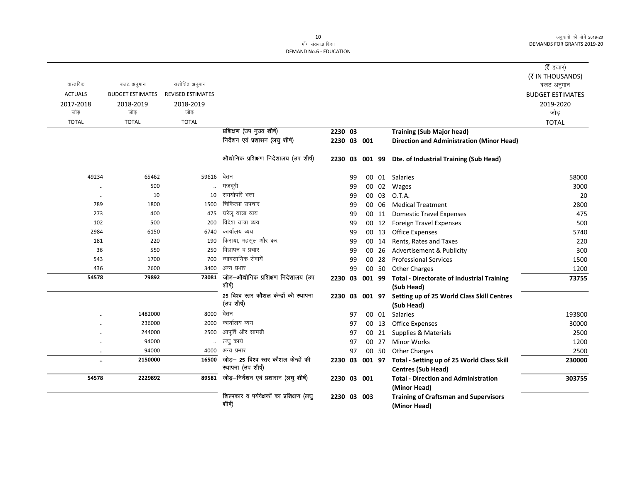#### 10 माँग संख्या.6 शिक्षा **DEMAND No.6 - EDUCATION**

|                |                         |                          |                                                |             |    |        |       |                                                                    | (रै हजार)               |
|----------------|-------------------------|--------------------------|------------------------------------------------|-------------|----|--------|-------|--------------------------------------------------------------------|-------------------------|
|                |                         |                          |                                                |             |    |        |       |                                                                    | (₹ IN THOUSANDS)        |
| वास्तविक       | बजट अनुमान              | संशोधित अनुमान           |                                                |             |    |        |       |                                                                    | बजट अनुमान              |
| <b>ACTUALS</b> | <b>BUDGET ESTIMATES</b> | <b>REVISED ESTIMATES</b> |                                                |             |    |        |       |                                                                    | <b>BUDGET ESTIMATES</b> |
| 2017-2018      | 2018-2019               | 2018-2019                |                                                |             |    |        |       |                                                                    | 2019-2020               |
| जोड            | जोड                     | जोड                      |                                                |             |    |        |       |                                                                    | जोड                     |
| <b>TOTAL</b>   | <b>TOTAL</b>            | <b>TOTAL</b>             |                                                |             |    |        |       |                                                                    | <b>TOTAL</b>            |
|                |                         |                          | प्रशिक्षण (उप मुख्य शीर्ष)                     | 2230 03     |    |        |       | <b>Training (Sub Major head)</b>                                   |                         |
|                |                         |                          | निर्देशन एवं प्रशासन (लघु शीर्ष)               | 2230 03 001 |    |        |       | <b>Direction and Administration (Minor Head)</b>                   |                         |
|                |                         |                          | औद्योगिक प्रशिक्षण निदेशालय (उप शीर्ष)         | 2230 03     |    |        |       | 001 99 Dte. of Industrial Training (Sub Head)                      |                         |
| 49234          | 65462                   | 59616                    | वेतन                                           |             | 99 |        |       | 00 01 Salaries                                                     | 58000                   |
| $\ddotsc$      | 500                     |                          | मजदूरी                                         |             | 99 |        | 00 02 | Wages                                                              | 3000                    |
| $\ddotsc$      | 10                      | 10                       | समयोपरि भत्ता                                  |             | 99 |        | 00 03 | O.T.A.                                                             | 20                      |
| 789            | 1800                    | 1500                     | चिकित्सा उपचार                                 |             | 99 |        | 00 06 | <b>Medical Treatment</b>                                           | 2800                    |
| 273            | 400                     | 475                      | घरेलू यात्रा व्यय                              |             | 99 |        | 00 11 | <b>Domestic Travel Expenses</b>                                    | 475                     |
| 102            | 500                     | 200                      | विदेश यात्रा व्यय                              |             | 99 |        | 00 12 | <b>Foreign Travel Expenses</b>                                     | 500                     |
| 2984           | 6150                    | 6740                     | कार्यालय व्यय                                  |             | 99 |        | 00 13 | <b>Office Expenses</b>                                             | 5740                    |
| 181            | 220                     | 190                      | किराया, महसूल और कर                            |             | 99 |        | 00 14 | Rents, Rates and Taxes                                             | 220                     |
| 36             | 550                     | 250                      | विज्ञापन व प्रचार                              |             | 99 |        | 00 26 | Advertisement & Publicity                                          | 300                     |
| 543            | 1700                    | 700                      | व्यावसायिक सेवायें                             |             | 99 |        | 00 28 | <b>Professional Services</b>                                       | 1500                    |
| 436            | 2600                    | 3400                     | अन्य प्रभार                                    |             | 99 |        | 00 50 | <b>Other Charges</b>                                               | 1200                    |
| 54578          | 79892                   | 73081                    | जोड़—औद्योगिक प्रशिक्षण निदेशालय (उप<br>शीर्ष) | 2230 03     |    | 001 99 |       | <b>Total - Directorate of Industrial Training</b>                  | 73755                   |
|                |                         |                          | 25 विश्व स्तर कौशल केन्द्रों की स्थापना        |             |    |        |       | (Sub Head)                                                         |                         |
|                |                         |                          | (उप शीर्ष)                                     | 2230        |    |        |       | 03 001 97 Setting up of 25 World Class Skill Centres<br>(Sub Head) |                         |
|                | 1482000                 | 8000                     | वेतन                                           |             | 97 |        | 00 01 | Salaries                                                           | 193800                  |
|                | 236000                  | 2000                     | कार्यालय व्यय                                  |             | 97 |        | 00 13 | <b>Office Expenses</b>                                             | 30000                   |
|                | 244000                  | 2500                     | आपूर्ति और सामग्री                             |             | 97 |        | 00 21 | Supplies & Materials                                               | 2500                    |
| $\ddotsc$      | 94000                   | $\ddotsc$                | लघु कार्य                                      |             | 97 |        | 00 27 | <b>Minor Works</b>                                                 | 1200                    |
| $\ddotsc$      | 94000                   |                          | 4000 अन्य प्रभार                               |             | 97 |        | 00 50 | <b>Other Charges</b>                                               | 2500                    |
| $\ddotsc$      | 2150000                 | 16500                    | जोड़- 25 विश्व स्तर कौशल केन्द्रों की          | 2230 03     |    |        |       | 001 97 Total - Setting up of 25 World Class Skill                  | 230000                  |
|                |                         |                          | स्थापना (उप शीर्ष)                             |             |    |        |       | <b>Centres (Sub Head)</b>                                          |                         |
| 54578          | 2229892                 | 89581                    | जोड़-निर्देशन एवं प्रशासन (लघु शीर्ष)          | 2230 03 001 |    |        |       | <b>Total - Direction and Administration</b>                        | 303755                  |
|                |                         |                          | शिल्पकार व पर्यवेक्षकों का प्रशिक्षण (लघु      |             |    |        |       | (Minor Head)                                                       |                         |
|                |                         |                          | शीर्ष)                                         | 2230 03 003 |    |        |       | <b>Training of Craftsman and Supervisors</b><br>(Minor Head)       |                         |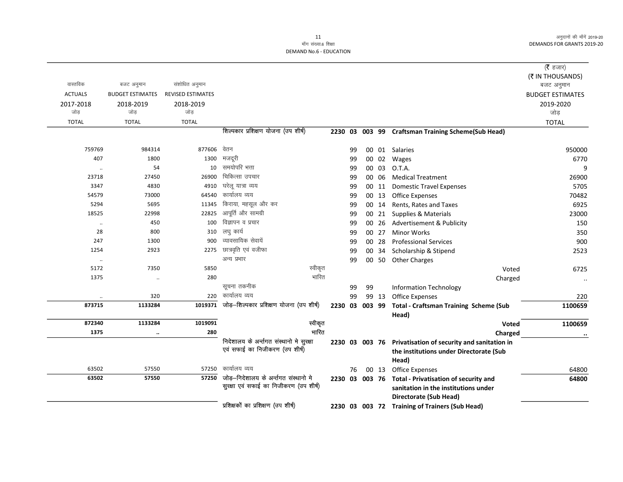|                  |                         |                          |                                                                            |                |    |                |       |                                                    | ( $\bar{\tau}$ हजार)    |
|------------------|-------------------------|--------------------------|----------------------------------------------------------------------------|----------------|----|----------------|-------|----------------------------------------------------|-------------------------|
| वास्तविक         | बजट अनुमान              | संशोधित अनुमान           |                                                                            |                |    |                |       |                                                    | (そ IN THOUSANDS)        |
| <b>ACTUALS</b>   | <b>BUDGET ESTIMATES</b> | <b>REVISED ESTIMATES</b> |                                                                            |                |    |                |       |                                                    | बजट अनुमान              |
|                  |                         |                          |                                                                            |                |    |                |       |                                                    | <b>BUDGET ESTIMATES</b> |
| 2017-2018<br>जोड | 2018-2019<br>जोड        | 2018-2019<br>जोड         |                                                                            |                |    |                |       |                                                    | 2019-2020<br>जोड़       |
| <b>TOTAL</b>     | <b>TOTAL</b>            | <b>TOTAL</b>             |                                                                            |                |    |                |       |                                                    |                         |
|                  |                         |                          | शिल्पकार प्रशिक्षण योजना (उप शीर्ष)                                        |                |    |                |       |                                                    | <b>TOTAL</b>            |
|                  |                         |                          |                                                                            |                |    |                |       | 2230 03 003 99 Craftsman Training Scheme(Sub Head) |                         |
| 759769           | 984314                  | 877606                   | वेतन                                                                       |                | 99 |                |       | 00 01 Salaries                                     | 950000                  |
| 407              | 1800                    | 1300                     | मजदूरी                                                                     |                | 99 |                | 00 02 | Wages                                              | 6770                    |
|                  | 54                      | 10                       | समयोपरि भत्ता                                                              |                | 99 |                | 00 03 | O.T.A.                                             | q                       |
| 23718            | 27450                   | 26900                    | चिकित्सा उपचार                                                             |                | 99 |                | 00 06 | <b>Medical Treatment</b>                           | 26900                   |
| 3347             | 4830                    | 4910                     | घरेलू यात्रा व्यय                                                          |                | 99 |                | 00 11 | <b>Domestic Travel Expenses</b>                    | 5705                    |
| 54579            | 73000                   | 64540                    | कार्यालय व्यय                                                              |                | 99 |                | 00 13 | <b>Office Expenses</b>                             | 70482                   |
| 5294             | 5695                    | 11345                    | किराया, महसूल और कर                                                        |                | 99 |                | 00 14 | Rents. Rates and Taxes                             | 6925                    |
| 18525            | 22998                   | 22825                    | आपूर्ति और सामग्री                                                         |                | 99 |                | 00 21 | Supplies & Materials                               | 23000                   |
| $\ldots$         | 450                     | 100                      | विज्ञापन व प्रचार                                                          |                | 99 |                | 00 26 | Advertisement & Publicity                          | 150                     |
| 28               | 800                     | 310                      | लघु कार्य                                                                  |                | 99 |                | 00 27 | <b>Minor Works</b>                                 | 350                     |
| 247              | 1300                    | 900                      | व्यावसायिक सेवायें                                                         |                | 99 |                | 00 28 | <b>Professional Services</b>                       | 900                     |
| 1254             | 2923                    | 2275                     | छात्रवृति एवं वजीफा                                                        |                | 99 |                | 00 34 | Scholarship & Stipend                              | 2523                    |
| $\cdot\cdot$     |                         |                          | अन्य प्रभार                                                                |                | 99 |                | 00 50 | <b>Other Charges</b>                               |                         |
| 5172             | 7350                    | 5850                     | स्वीकृत                                                                    |                |    |                |       | Voted                                              | 6725                    |
| 1375             | $\ldots$                | 280                      | भारित                                                                      |                |    |                |       | Charged                                            | $\ddotsc$               |
|                  |                         |                          | सूचना तकनीक                                                                |                | 99 | 99             |       | <b>Information Technology</b>                      |                         |
| $\cdot\cdot$     | 320                     | 220                      | कार्यालय व्यय                                                              |                | 99 |                | 99 13 | <b>Office Expenses</b>                             | 220                     |
| 873715           | 1133284                 | 1019371                  | जोड़-शिल्पकार प्रशिक्षण योजना (उप शीर्ष)                                   | 2230 03 003 99 |    |                |       | <b>Total - Craftsman Training Scheme (Sub</b>      | 1100659                 |
|                  |                         |                          |                                                                            |                |    |                |       | Head)                                              |                         |
| 872340           | 1133284                 | 1019091                  | स्वीकृत                                                                    |                |    |                |       | Voted                                              | 1100659                 |
| 1375             | $\ddot{\phantom{0}}$    | 280                      | भारित                                                                      |                |    |                |       | Charged                                            | $\cdot \cdot$           |
|                  |                         |                          | निदेशालय के अर्न्तगत संस्थानो मे सुरक्षा<br>एवं सफाई का निजीकरण (उप शीर्ष) |                |    | 2230 03 003 76 |       | Privatisation of security and sanitation in        |                         |
|                  |                         |                          |                                                                            |                |    |                |       | the institutions under Directorate (Sub            |                         |
|                  |                         |                          |                                                                            |                |    |                |       | Head)                                              |                         |
| 63502            | 57550                   | 57250                    | कार्यालय व्यय<br>जोड़–निदेशालय के अर्न्तगत संस्थानो मे                     |                | 76 |                | 00 13 | Office Expenses                                    | 64800                   |
| 63502            | 57550                   | 57250                    | सुरक्षा एवं सफाई का निजीकरण (उप शीर्ष)                                     | 2230 03 003 76 |    |                |       | <b>Total - Privatisation of security and</b>       | 64800                   |
|                  |                         |                          |                                                                            |                |    |                |       | sanitation in the institutions under               |                         |
|                  |                         |                          |                                                                            |                |    |                |       | <b>Directorate (Sub Head)</b>                      |                         |
|                  |                         |                          | प्रशिक्षकों का प्रशिक्षण (उप शीर्ष)                                        |                |    |                |       | 2230 03 003 72 Training of Trainers (Sub Head)     |                         |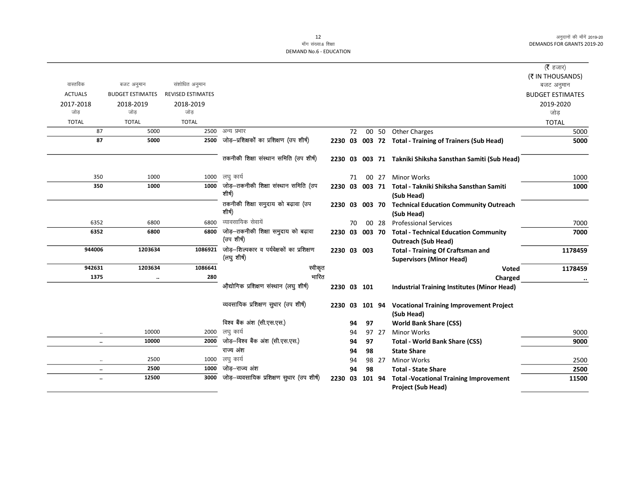|                      |                         |                          |                                              |             |    |                |       |                                                             | ( <b>रै</b> हजार)       |
|----------------------|-------------------------|--------------------------|----------------------------------------------|-------------|----|----------------|-------|-------------------------------------------------------------|-------------------------|
|                      |                         |                          |                                              |             |    |                |       |                                                             | (₹ IN THOUSANDS)        |
| वास्तविक             | बजट अनुमान              | संशोधित अनुमान           |                                              |             |    |                |       |                                                             | बजट अनुमान              |
| <b>ACTUALS</b>       | <b>BUDGET ESTIMATES</b> | <b>REVISED ESTIMATES</b> |                                              |             |    |                |       |                                                             | <b>BUDGET ESTIMATES</b> |
| 2017-2018            | 2018-2019               | 2018-2019                |                                              |             |    |                |       |                                                             | 2019-2020               |
| जोड                  | जोड                     | जोड                      |                                              |             |    |                |       |                                                             | जोड                     |
| <b>TOTAL</b>         | <b>TOTAL</b>            | <b>TOTAL</b>             |                                              |             |    |                |       |                                                             | <b>TOTAL</b>            |
| 87                   | 5000                    | 2500                     | अन्य प्रभार                                  |             | 72 |                |       | 00 50 Other Charges                                         | 5000                    |
| 87                   | 5000                    | 2500                     | जोड़—प्रशिक्षकों का प्रशिक्षण (उप शीर्ष)     |             |    |                |       | 2230 03 003 72 Total - Training of Trainers (Sub Head)      | 5000                    |
|                      |                         |                          | तकनीकी शिक्षा संस्थान समिति (उप शीर्ष)       |             |    |                |       | 2230 03 003 71 Takniki Shiksha Sansthan Samiti (Sub Head)   |                         |
| 350                  | 1000                    | 1000                     | लघु कार्य                                    |             | 71 |                | 00 27 | <b>Minor Works</b>                                          | 1000                    |
| 350                  | 1000                    | 1000                     | जोड़—तकनीकी शिक्षा संस्थान समिति (उप         |             |    |                |       | 2230 03 003 71 Total - Takniki Shiksha Sansthan Samiti      | 1000                    |
|                      |                         |                          | शीर्ष)                                       |             |    |                |       | (Sub Head)                                                  |                         |
|                      |                         |                          | तकनीकी शिक्षा समुदाय को बढ़ावा (उप<br>शीर्ष) | 2230        |    | 03 003 70      |       | <b>Technical Education Community Outreach</b><br>(Sub Head) |                         |
| 6352                 | 6800                    | 6800                     | व्यावसायिक सेवायें                           |             | 70 |                | 00 28 | <b>Professional Services</b>                                | 7000                    |
| 6352                 | 6800                    | 6800                     | जोड़—तकनीकी शिक्षा समुदाय को बढ़ावा          |             |    |                |       | 2230 03 003 70 Total - Technical Education Community        | 7000                    |
|                      |                         |                          | (उप शीर्ष)                                   |             |    |                |       | <b>Outreach (Sub Head)</b>                                  |                         |
| 944006               | 1203634                 | 1086921                  | जोड़—शिल्पकार व पर्यवेक्षकों का प्रशिक्षण    | 2230 03 003 |    |                |       | <b>Total - Training Of Craftsman and</b>                    | 1178459                 |
|                      |                         |                          | (लघु शीर्ष)                                  |             |    |                |       | <b>Supervisors (Minor Head)</b>                             |                         |
| 942631               | 1203634                 | 1086641                  | स्वीकृत                                      |             |    |                |       | <b>Voted</b>                                                | 1178459                 |
| 1375                 | $\ddot{\phantom{a}}$    | 280                      | भारित                                        |             |    |                |       | Charged                                                     |                         |
|                      |                         |                          | औद्योगिक प्रशिक्षण संस्थान (लघु शीर्ष)       | 2230 03 101 |    |                |       | <b>Industrial Training Institutes (Minor Head)</b>          |                         |
|                      |                         |                          | व्यवसायिक प्रशिक्षण सुधार (उप शीर्ष)         |             |    | 2230 03 101 94 |       | <b>Vocational Training Improvement Project</b>              |                         |
|                      |                         |                          |                                              |             |    |                |       | (Sub Head)                                                  |                         |
|                      |                         |                          | विश्व बैंक अंश (सी.एस.एस.)                   |             | 94 | 97             |       | <b>World Bank Share (CSS)</b>                               |                         |
| $\ddotsc$            | 10000                   | 2000                     | लघु कार्य                                    |             | 94 |                | 97 27 | <b>Minor Works</b>                                          | 9000                    |
| $\ldots$             | 10000                   | 2000                     | जोड़—विश्व बैंक अंश (सी.एस.एस.)              |             | 94 | 97             |       | <b>Total - World Bank Share (CSS)</b>                       | 9000                    |
|                      |                         |                          | राज्य अंश                                    |             | 94 | 98             |       | <b>State Share</b>                                          |                         |
| $\ddotsc$            | 2500                    | 1000                     | लघु कार्य                                    |             | 94 |                | 98 27 | <b>Minor Works</b>                                          | 2500                    |
| $\ddotsc$            | 2500                    | 1000                     | जोड–राज्य अंश                                |             | 94 | 98             |       | <b>Total - State Share</b>                                  | 2500                    |
| $\ddot{\phantom{a}}$ | 12500                   | 3000                     | जोड़—व्यवसायिक प्रशिक्षण सुधार (उप शीर्ष)    | 2230 03     |    | 101 94         |       | <b>Total -Vocational Training Improvement</b>               | 11500                   |
|                      |                         |                          |                                              |             |    |                |       | Project (Sub Head)                                          |                         |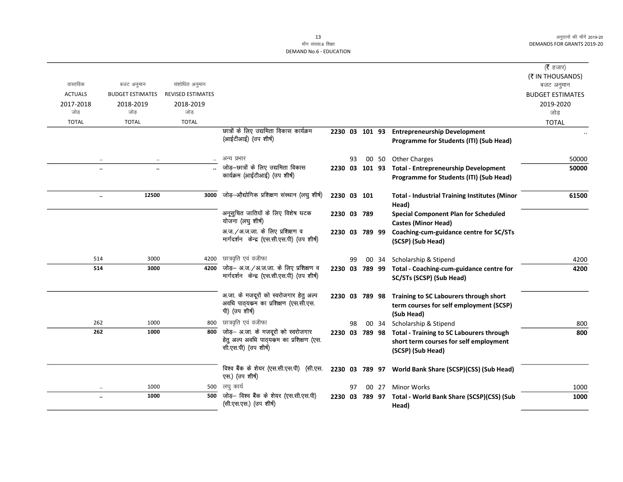|                   |                         |                          |                                                                                                         |                |    |                |       |                                                                                                                        | ( $\bar{\tau}$ हजार)           |
|-------------------|-------------------------|--------------------------|---------------------------------------------------------------------------------------------------------|----------------|----|----------------|-------|------------------------------------------------------------------------------------------------------------------------|--------------------------------|
| वास्तविक          | बजट अनुमान              | संशोधित अनुमान           |                                                                                                         |                |    |                |       |                                                                                                                        | (₹ IN THOUSANDS)<br>बजट अनुमान |
| <b>ACTUALS</b>    | <b>BUDGET ESTIMATES</b> | <b>REVISED ESTIMATES</b> |                                                                                                         |                |    |                |       |                                                                                                                        | <b>BUDGET ESTIMATES</b>        |
| 2017-2018<br>जोड़ | 2018-2019<br>जोड        | 2018-2019<br>जोड़        |                                                                                                         |                |    |                |       |                                                                                                                        | 2019-2020<br>जोड़              |
| <b>TOTAL</b>      | <b>TOTAL</b>            | <b>TOTAL</b>             |                                                                                                         |                |    |                |       |                                                                                                                        | <b>TOTAL</b>                   |
|                   |                         |                          | छात्रों के लिए उद्यमिता विकास कार्यक्रम<br>(आईटीआई) (उप शीर्ष)                                          | 2230 03 101 93 |    |                |       | <b>Entrepreneurship Development</b><br>Programme for Students (ITI) (Sub Head)                                         |                                |
| $\cdot\cdot$      |                         | $\ddotsc$                | अन्य प्रभार                                                                                             |                | 93 |                |       | 00 50 Other Charges                                                                                                    | 50000                          |
|                   | $\ddotsc$               |                          | जोड-छात्रों के लिए उद्यमिता विकास<br>कार्यक्रम (आईटीआई) (उप शीर्ष)                                      |                |    | 2230 03 101 93 |       | <b>Total - Entrepreneurship Development</b><br>Programme for Students (ITI) (Sub Head)                                 | 50000                          |
|                   | 12500                   | 3000                     | जोड़—औद्योगिक प्रशिक्षण संस्थान (लघु शीर्ष)                                                             | 2230 03 101    |    |                |       | <b>Total - Industrial Training Institutes (Minor</b><br>Head)                                                          | 61500                          |
|                   |                         |                          | अनूसुचित जातियों के लिए विशेष घटक<br>योजना (लघु शीर्ष)                                                  | 2230 03 789    |    |                |       | <b>Special Component Plan for Scheduled</b><br><b>Castes (Minor Head)</b>                                              |                                |
|                   |                         |                          | अ.ज./अ.ज.जा. के लिए प्रशिक्षण व<br>मार्गदर्शन केन्द्र (एस.सी.एस.पी) (उप शीर्ष)                          |                |    | 2230 03 789 99 |       | Coaching-cum-guidance centre for SC/STs<br>(SCSP) (Sub Head)                                                           |                                |
| 514               | 3000                    | 4200                     | छात्रवृति एवं वजीफा                                                                                     |                | 99 |                | 00 34 | Scholarship & Stipend                                                                                                  | 4200                           |
| 514               | 3000                    | 4200                     | जोड़— अ.ज./अ.ज.जा. के लिए प्रशिक्षण व<br>मार्गदर्शन केन्द्र (एस.सी.एस.पी) (उप शीर्ष)                    | 2230 03 789 99 |    |                |       | Total - Coaching-cum-guidance centre for<br>SC/STs (SCSP) (Sub Head)                                                   | 4200                           |
|                   |                         |                          | अ.जा. के मजदूरों को स्वरोजगार हेतु अल्प<br>अवधि पाठ्यकम का प्रशिक्षण (एस.सी.एस.<br>पी) (उप शीर्ष)       |                |    | 2230 03 789 98 |       | Training to SC Labourers through short<br>term courses for self employment (SCSP)<br>(Sub Head)                        |                                |
| 262               | 1000                    | 800                      | छात्रवृति एवं वजीफा                                                                                     |                | 98 |                |       | 00 34 Scholarship & Stipend                                                                                            | 800                            |
| 262               | 1000                    | 800                      | जोड़– अ.जा. के मजदूरों को स्वरोजगार<br>हेतू अल्प अवधि पाठ्यकम का प्रशिक्षण (एस.<br>सी.एस.पी) (उप शीर्ष) |                |    |                |       | 2230 03 789 98 Total - Training to SC Labourers through<br>short term courses for self employment<br>(SCSP) (Sub Head) | 800                            |
|                   |                         |                          | विश्व बैंक के शेयर (एस.सी.एस.पी) (सी.एस.<br>एस.) (उप शीर्ष)                                             |                |    |                |       | 2230 03 789 97 World Bank Share (SCSP)(CSS) (Sub Head)                                                                 |                                |
|                   | 1000                    |                          | 500 लघु कार्य                                                                                           |                | 97 |                | 00 27 | <b>Minor Works</b>                                                                                                     | 1000                           |
|                   | 1000                    | 500                      | जोड़- विश्व बैंक के शेयर (एस.सी.एस.पी)<br>(सी.एस.एस.) (उप शीर्ष)                                        | 2230 03        |    | 789 97         |       | Total - World Bank Share (SCSP)(CSS) (Sub<br>Head)                                                                     | 1000                           |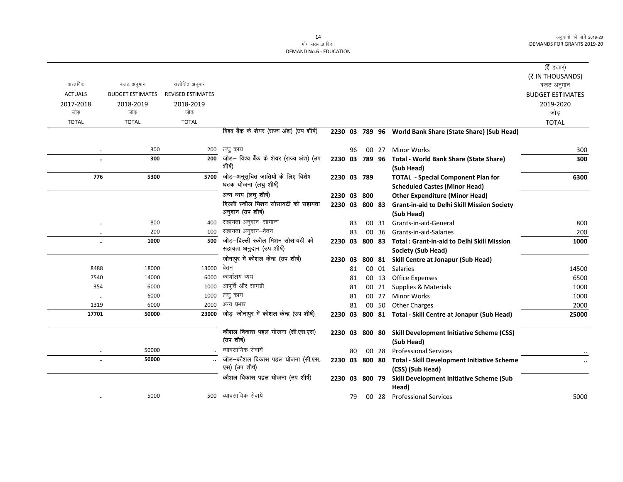|                      |                         |                          |                                           |                |    |        |       |                                                          | (रै हजार)               |
|----------------------|-------------------------|--------------------------|-------------------------------------------|----------------|----|--------|-------|----------------------------------------------------------|-------------------------|
|                      |                         |                          |                                           |                |    |        |       |                                                          | (₹ IN THOUSANDS)        |
| वास्तविक             | बजट अनुमान              | संशोधित अनुमान           |                                           |                |    |        |       |                                                          | बजट अनुमान              |
| <b>ACTUALS</b>       | <b>BUDGET ESTIMATES</b> | <b>REVISED ESTIMATES</b> |                                           |                |    |        |       |                                                          | <b>BUDGET ESTIMATES</b> |
| 2017-2018            | 2018-2019               | 2018-2019                |                                           |                |    |        |       |                                                          | 2019-2020               |
| जोड                  | जोड                     | जोड                      |                                           |                |    |        |       |                                                          | जोड                     |
| <b>TOTAL</b>         | <b>TOTAL</b>            | <b>TOTAL</b>             |                                           |                |    |        |       |                                                          | <b>TOTAL</b>            |
|                      |                         |                          | विश्व बैंक के शेयर (राज्य अंश) (उप शीर्ष) |                |    |        |       | 2230 03 789 96 World Bank Share (State Share) (Sub Head) |                         |
| $\ddotsc$            | 300                     |                          | 200 लघु कार्य                             |                | 96 |        | 00 27 | <b>Minor Works</b>                                       | 300                     |
| $\ddot{\phantom{a}}$ | 300                     | 200                      | जोड़— विश्व बैंक के शेयर (राज्य अंश) (उप  | 2230 03 789 96 |    |        |       | <b>Total - World Bank Share (State Share)</b>            | 300                     |
|                      |                         |                          | शीर्ष)                                    |                |    |        |       | (Sub Head)                                               |                         |
| 776                  | 5300                    | 5700                     | जोड़—अनूसुचित जातियों के लिए विशेष        | 2230 03 789    |    |        |       | <b>TOTAL - Special Component Plan for</b>                | 6300                    |
|                      |                         |                          | घटक योजना (लघु शीर्ष)                     |                |    |        |       | <b>Scheduled Castes (Minor Head)</b>                     |                         |
|                      |                         |                          | अन्य व्यय (लघु शीर्ष)                     | 2230 03        |    | 800    |       | <b>Other Expenditure (Minor Head)</b>                    |                         |
|                      |                         |                          | दिल्ली स्कील मिशन सोसायटी को सहायता       | 2230 03        |    | 800 83 |       | <b>Grant-in-aid to Delhi Skill Mission Society</b>       |                         |
|                      |                         |                          | अनुदान (उप शीर्ष)                         |                |    |        |       | (Sub Head)                                               |                         |
| $\ddotsc$            | 800                     | 400                      | सहायता अनुदान–सामान्य                     |                | 83 |        | 00 31 | Grants-in-aid-General                                    | 800                     |
| $\ddotsc$            | 200                     | 100                      | सहायता अनुदान–वेतन                        |                | 83 |        | 00 36 | Grants-in-aid-Salaries                                   | 200                     |
| $\ddotsc$            | 1000                    | 500                      | जोड़–दिल्ली स्कील मिशन सोसायटी को         | 2230 03        |    | 800 83 |       | <b>Total: Grant-in-aid to Delhi Skill Mission</b>        | 1000                    |
|                      |                         |                          | सहायता अनुदान (उप शीर्ष)                  |                |    |        |       | Society (Sub Head)                                       |                         |
|                      |                         |                          | जोनापुर में कोशल केन्द्र (उप शीर्ष)       | 2230 03        |    | 800 81 |       | Skill Centre at Jonapur (Sub Head)                       |                         |
| 8488                 | 18000                   | 13000                    | वेतन                                      |                | 81 |        | 00 01 | Salaries                                                 | 14500                   |
| 7540                 | 14000                   | 6000                     | कार्यालय व्यय                             |                | 81 |        | 00 13 | Office Expenses                                          | 6500                    |
| 354                  | 6000                    | 1000                     | आपूर्ति और सामग्री                        |                | 81 |        | 00 21 | Supplies & Materials                                     | 1000                    |
| $\ddot{\phantom{a}}$ | 6000                    |                          | 1000 लघु कार्य                            |                | 81 |        | 00 27 | <b>Minor Works</b>                                       | 1000                    |
| 1319                 | 6000                    |                          | 2000 अन्य प्रभार                          |                | 81 |        | 00 50 | <b>Other Charges</b>                                     | 2000                    |
| 17701                | 50000                   | 23000                    | जोड़–जोनापुर में कोशल केन्द्र (उप शीर्ष)  | 2230 03        |    |        |       | 800 81 Total - Skill Centre at Jonapur (Sub Head)        | 25000                   |
|                      |                         |                          | कौशल विकास पहल योजना (सी.एस.एस)           | 2230 03        |    | 800 80 |       | <b>Skill Development Initiative Scheme (CSS)</b>         |                         |
|                      |                         |                          | (उप शीर्ष)                                |                |    |        |       | (Sub Head)                                               |                         |
|                      | 50000                   |                          | व्यावसायिक सेवायें                        |                | 80 |        | 00 28 | <b>Professional Services</b>                             |                         |
| $\ddot{\phantom{a}}$ | 50000                   |                          | जोड़-कौशल विकास पहल योजना (सी.एस.         | 2230 03        |    | 800 80 |       | <b>Total - Skill Development Initiative Scheme</b>       | $\cdot\cdot$            |
|                      |                         |                          | एस) (उप शीर्ष)                            |                |    |        |       | (CSS) (Sub Head)                                         |                         |
|                      |                         |                          | कौशल विकास पहल योजना (उप शीर्ष)           | 2230 03        |    | 800 79 |       | Skill Development Initiative Scheme (Sub                 |                         |
|                      |                         |                          |                                           |                |    |        |       | Head)                                                    |                         |
|                      | 5000                    |                          | 500 व्यावसायिक सेवायें                    |                | 79 |        | 00 28 | <b>Professional Services</b>                             | 5000                    |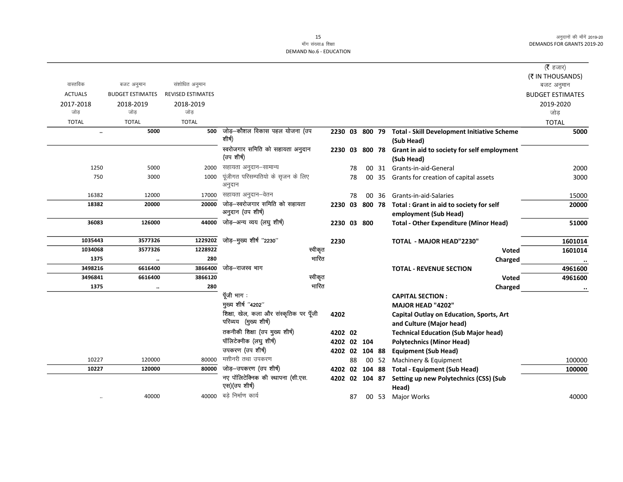### 15 माँग संख्या.6 शिक्षा

|                |                         |                          |                                                     |             |    |                 |       |                                                                   | (रै हजार)               |
|----------------|-------------------------|--------------------------|-----------------------------------------------------|-------------|----|-----------------|-------|-------------------------------------------------------------------|-------------------------|
|                |                         |                          |                                                     |             |    |                 |       |                                                                   | (₹ IN THOUSANDS)        |
| वास्तविक       | बजट अनुमान              | संशोधित अनुमान           |                                                     |             |    |                 |       |                                                                   | बजट अनुमान              |
| <b>ACTUALS</b> | <b>BUDGET ESTIMATES</b> | <b>REVISED ESTIMATES</b> |                                                     |             |    |                 |       |                                                                   | <b>BUDGET ESTIMATES</b> |
| 2017-2018      | 2018-2019               | 2018-2019                |                                                     |             |    |                 |       |                                                                   | 2019-2020               |
| जोड            | जोड                     | जोड                      |                                                     |             |    |                 |       |                                                                   | जोड                     |
| <b>TOTAL</b>   | <b>TOTAL</b>            | <b>TOTAL</b>             |                                                     |             |    |                 |       |                                                                   | <b>TOTAL</b>            |
| $\ddotsc$      | 5000                    | 500                      | जोड़—कौशल विकास पहल योजना (उप                       |             |    | 2230 03 800 79  |       | <b>Total - Skill Development Initiative Scheme</b>                | 5000                    |
|                |                         |                          | शीर्ष)                                              |             |    |                 |       | (Sub Head)                                                        |                         |
|                |                         |                          | स्वरोजगार समिति को सहायता अनुदान                    | 2230 03     |    | 800 78          |       | Grant in aid to society for self employment                       |                         |
|                |                         |                          | (उप शीर्ष)                                          |             |    |                 |       | (Sub Head)                                                        |                         |
| 1250           | 5000                    | 2000                     | सहायता अनुदान–सामान्य                               |             | 78 |                 | 00 31 | Grants-in-aid-General                                             | 2000                    |
| 750            | 3000                    | 1000                     | पूंजीगत परिसम्पतियो के सृजन के लिए<br>अनुदान        |             | 78 |                 | 00 35 | Grants for creation of capital assets                             | 3000                    |
| 16382          | 12000                   | 17000                    | सहायता अनुदान–वेतन                                  |             | 78 | 00 <sup>1</sup> | 36    | Grants-in-aid-Salaries                                            | 15000                   |
| 18382          | 20000                   | 20000                    | जोड़-स्वरोजगार समिति को सहायता<br>अनुदान (उप शीर्ष) | 2230        | 03 | 800 78          |       | Total : Grant in aid to society for self<br>employment (Sub Head) | 20000                   |
| 36083          | 126000                  | 44000                    | जोड़-अन्य व्यय (लघु शीर्ष)                          | 2230 03 800 |    |                 |       | <b>Total - Other Expenditure (Minor Head)</b>                     | 51000                   |
| 1035443        | 3577326                 | 1229202                  | जोड़—मुख्य शीर्ष "2230"                             | 2230        |    |                 |       | TOTAL - MAJOR HEAD"2230"                                          | 1601014                 |
| 1034068        | 3577326                 | 1228922                  | स्वीकृत                                             |             |    |                 |       | Voted                                                             | 1601014                 |
| 1375           | $\ddotsc$               | 280                      | भारित                                               |             |    |                 |       | Charged                                                           | $\ddot{\phantom{a}}$    |
| 3498216        | 6616400                 | 3866400                  | जोड़–राजस्व भाग                                     |             |    |                 |       | <b>TOTAL - REVENUE SECTION</b>                                    | 4961600                 |
| 3496841        | 6616400                 | 3866120                  | स्वीकृत                                             |             |    |                 |       | <b>Voted</b>                                                      | 4961600                 |
| 1375           | $\ddotsc$               | 280                      | भारित                                               |             |    |                 |       | Charged                                                           |                         |
|                |                         |                          | पूँजी भाग:                                          |             |    |                 |       | <b>CAPITAL SECTION:</b>                                           |                         |
|                |                         |                          | मुख्य शीर्ष "4202"                                  |             |    |                 |       | MAJOR HEAD "4202"                                                 |                         |
|                |                         |                          | शिक्षा, खेल, कला और संस्कृतिक पर पूँजी              | 4202        |    |                 |       | Capital Outlay on Education, Sports, Art                          |                         |
|                |                         |                          | परिव्यय (मुख्य शीर्ष)                               |             |    |                 |       | and Culture (Major head)                                          |                         |
|                |                         |                          | तकनीकी शिक्षा (उप मुख्य शीर्ष)                      | 4202 02     |    |                 |       | <b>Technical Education (Sub Major head)</b>                       |                         |
|                |                         |                          | पॉलिटेक्नीक (लघु शीर्ष)                             | 4202 02 104 |    |                 |       | <b>Polytechnics (Minor Head)</b>                                  |                         |
|                |                         |                          | उपकरण (उप शीर्ष)                                    |             |    | 4202 02 104 88  |       | <b>Equipment (Sub Head)</b>                                       |                         |
| 10227          | 120000                  | 80000                    | मशीनरी तथा उपकरण                                    |             | 88 |                 | 00 52 | Machinery & Equipment                                             | 100000                  |
| 10227          | 120000                  | 80000                    | जोड़–उपकरण (उप शीर्ष)                               | 4202 02     |    | 104 88          |       | <b>Total - Equipment (Sub Head)</b>                               | 100000                  |
|                |                         |                          | नए पॉलिटेक्निक की स्थापना (सी.एस.<br>एस)(उप शीर्ष)  |             |    | 4202 02 104 87  |       | Setting up new Polytechnics (CSS) (Sub<br>Head)                   |                         |
| $\cdot\cdot$   | 40000                   |                          | 40000 बड़े निर्माण कार्य                            |             | 87 |                 | 00 53 | <b>Major Works</b>                                                | 40000                   |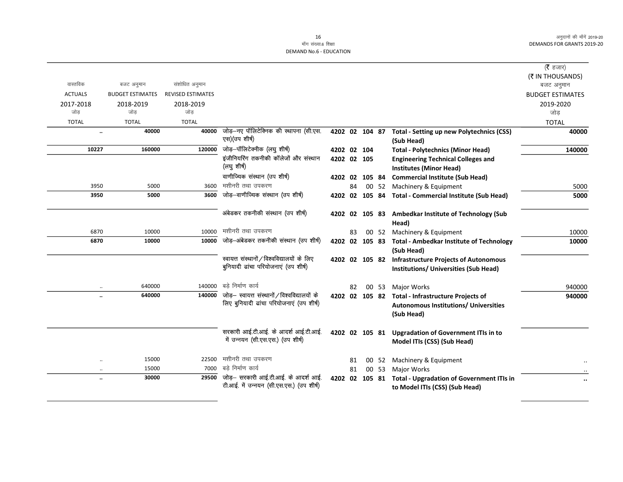|                      |                         |                          |                                                                                       |                |    |       |                                                                                       | ( $\bar{\tau}$ हजार)    |
|----------------------|-------------------------|--------------------------|---------------------------------------------------------------------------------------|----------------|----|-------|---------------------------------------------------------------------------------------|-------------------------|
|                      |                         |                          |                                                                                       |                |    |       |                                                                                       | (₹ IN THOUSANDS)        |
| वास्तविक             | बजट अनुमान              | संशोधित अनुमान           |                                                                                       |                |    |       |                                                                                       | बजट अनुमान              |
| <b>ACTUALS</b>       | <b>BUDGET ESTIMATES</b> | <b>REVISED ESTIMATES</b> |                                                                                       |                |    |       |                                                                                       | <b>BUDGET ESTIMATES</b> |
| 2017-2018            | 2018-2019               | 2018-2019                |                                                                                       |                |    |       |                                                                                       | 2019-2020               |
| जोड                  | जोड                     | जोड                      |                                                                                       |                |    |       |                                                                                       | जोड                     |
| <b>TOTAL</b>         | <b>TOTAL</b>            | <b>TOTAL</b>             |                                                                                       |                |    |       |                                                                                       | <b>TOTAL</b>            |
| $\ddot{\phantom{a}}$ | 40000                   | 40000                    | जोड़-नए पॉलिटेक्निक की स्थापना (सी.एस.<br>एस) (उप शीर्ष)                              | 4202 02 104 87 |    |       | <b>Total - Setting up new Polytechnics (CSS)</b><br>(Sub Head)                        | 40000                   |
| 10227                | 160000                  | 120000                   | जोड़-पॉलिटेक्नीक (लघु शीर्ष)                                                          | 4202 02 104    |    |       | <b>Total - Polytechnics (Minor Head)</b>                                              | 140000                  |
|                      |                         |                          | इंजीनियरिंग तकनीकी कॉलेजों और संस्थान                                                 | 4202 02 105    |    |       | <b>Engineering Technical Colleges and</b>                                             |                         |
|                      |                         |                          | (लघु शीर्ष)                                                                           |                |    |       | <b>Institutes (Minor Head)</b>                                                        |                         |
|                      |                         |                          | वाणीज्यिक संस्थान (उप शीर्ष)                                                          | 4202 02 105 84 |    |       | <b>Commercial Institute (Sub Head)</b>                                                |                         |
| 3950                 | 5000                    | 3600                     | मशीनरी तथा उपकरण                                                                      |                | 84 | 00 52 | Machinery & Equipment                                                                 | 5000                    |
| 3950                 | 5000                    | 3600                     | जोड़-वाणीज्यिक संस्थान (उप शीर्ष)                                                     | 4202 02 105 84 |    |       | <b>Total - Commercial Institute (Sub Head)</b>                                        | 5000                    |
|                      |                         |                          | अंबेडकर तकनीकी संस्थान (उप शीर्ष)                                                     |                |    |       | 4202 02 105 83 Ambedkar Institute of Technology (Sub<br>Head)                         |                         |
| 6870                 | 10000                   | 10000                    | मशीनरी तथा उपकरण                                                                      |                | 83 |       | 00 52 Machinery & Equipment                                                           | 10000                   |
| 6870                 | 10000                   | 10000                    | जोड़—अंबेडकर तकनीकी संस्थान (उप शीर्ष)                                                | 4202 02 105 83 |    |       | <b>Total - Ambedkar Institute of Technology</b>                                       | 10000                   |
|                      |                         |                          |                                                                                       |                |    |       | (Sub Head)                                                                            |                         |
|                      |                         |                          | स्वायत्त संस्थानों / विश्वविद्यालयों के लिए<br>बुनियादी ढांचा परियोजनाएं (उप शीर्ष)   | 4202 02 105 82 |    |       | <b>Infrastructure Projects of Autonomous</b><br>Institutions/ Universities (Sub Head) |                         |
|                      | 640000                  | 140000                   | बडे निर्माण कार्य                                                                     |                | 82 | 00 53 | Major Works                                                                           | 940000                  |
| $\ddot{\phantom{a}}$ | 640000                  |                          | 140000 जोड़- स्वायत्त संस्थानों / विश्वविद्यालयों के                                  | 4202 02 105 82 |    |       | <b>Total - Infrastructure Projects of</b>                                             | 940000                  |
|                      |                         |                          | लिए बुनियादी ढांचा परियोजनाएं (उप शीर्ष)                                              |                |    |       | Autonomous Institutions/ Universities<br>(Sub Head)                                   |                         |
|                      |                         |                          | सरकारी आई.टी.आई. के आदर्श आई.टी.आई.<br>में उन्नयन (सी.एस.एस.) (उप शीर्ष)              | 4202 02 105 81 |    |       | <b>Upgradation of Government ITIs in to</b><br>Model ITIs (CSS) (Sub Head)            |                         |
| $\ddotsc$            | 15000                   | 22500                    | मशीनरी तथा उपकरण                                                                      |                | 81 | 00 52 | Machinery & Equipment                                                                 |                         |
| $\cdot$              | 15000                   | 7000                     | बडे निर्माण कार्य                                                                     |                | 81 | 00 53 | Major Works                                                                           |                         |
| $\ddot{\phantom{a}}$ | 30000                   |                          | 29500 जोड़- सरकारी आई.टी.आई. के आदर्श आई.<br>टी.आई. में उन्नयन (सी.एस.एस.) (उप शीर्ष) | 4202 02 105 81 |    |       | <b>Total - Upgradation of Government ITIs in</b><br>to Model ITIs (CSS) (Sub Head)    | $\ddot{\phantom{0}}$    |
|                      |                         |                          |                                                                                       |                |    |       |                                                                                       |                         |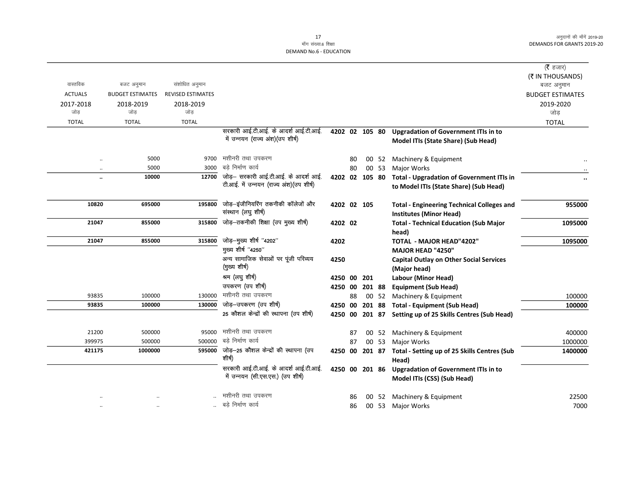|                      |                         |                          |                                              |                |    |        |       |                                                                                    | ( $\bar{\tau}$ हजार)    |
|----------------------|-------------------------|--------------------------|----------------------------------------------|----------------|----|--------|-------|------------------------------------------------------------------------------------|-------------------------|
|                      |                         |                          |                                              |                |    |        |       |                                                                                    | (₹ IN THOUSANDS)        |
| वास्तविक             | बजट अनुमान              | संशोधित अनुमान           |                                              |                |    |        |       |                                                                                    | बजट अनुमान              |
| <b>ACTUALS</b>       | <b>BUDGET ESTIMATES</b> | <b>REVISED ESTIMATES</b> |                                              |                |    |        |       |                                                                                    | <b>BUDGET ESTIMATES</b> |
| 2017-2018            | 2018-2019<br>जोड        | 2018-2019<br>जोड़        |                                              |                |    |        |       |                                                                                    | 2019-2020               |
| जोड़<br><b>TOTAL</b> | <b>TOTAL</b>            | <b>TOTAL</b>             |                                              |                |    |        |       |                                                                                    | जोड़                    |
|                      |                         |                          | सरकारी आई.टी.आई. के आदर्श आई.टी.आई.          |                |    |        |       |                                                                                    | <b>TOTAL</b>            |
|                      |                         |                          | में उन्नयन (राज्य अंश)(उप शीर्ष)             | 4202 02 105 80 |    |        |       | <b>Upgradation of Government ITIs in to</b><br>Model ITIs (State Share) (Sub Head) |                         |
|                      |                         |                          |                                              |                |    |        |       |                                                                                    |                         |
| $\ddot{\phantom{a}}$ | 5000                    | 9700                     | मशीनरी तथा उपकरण                             |                | 80 |        | 00 52 | Machinery & Equipment                                                              |                         |
| $\ddot{\phantom{0}}$ | 5000                    | 3000                     | बडे निर्माण कार्य                            |                | 80 |        | 00 53 | Major Works                                                                        |                         |
| $\ddot{\phantom{a}}$ | 10000                   | 12700                    | जोड़- सरकारी आई.टी.आई. के आदर्श आई.          | 4202 02 105 80 |    |        |       | <b>Total - Upgradation of Government ITIs in</b>                                   |                         |
|                      |                         |                          | टी.आई. में उन्नयन (राज्य अंश) (उप शीर्ष)     |                |    |        |       | to Model ITIs (State Share) (Sub Head)                                             |                         |
|                      |                         |                          |                                              |                |    |        |       |                                                                                    |                         |
| 10820                | 695000                  | 195800                   | जोड़-इंजीनियरिंग तकनीकी कॉलेजों और           | 4202 02 105    |    |        |       | <b>Total - Engineering Technical Colleges and</b>                                  | 955000                  |
|                      |                         |                          | संस्थान (लघु शीर्ष)                          |                |    |        |       | <b>Institutes (Minor Head)</b>                                                     |                         |
| 21047                | 855000                  | 315800                   | जोड़-तकनीकी शिक्षा (उप मुख्य शीर्ष)          | 4202 02        |    |        |       | <b>Total - Technical Education (Sub Major</b>                                      | 1095000                 |
|                      |                         |                          |                                              |                |    |        |       | head)                                                                              |                         |
| 21047                | 855000                  | 315800                   | जोड़-मुख्य शीर्ष "4202"                      | 4202           |    |        |       | TOTAL - MAJOR HEAD"4202"                                                           | 1095000                 |
|                      |                         |                          | मुख्य शीर्ष "4250"                           |                |    |        |       | MAJOR HEAD "4250"                                                                  |                         |
|                      |                         |                          | अन्य सामाजिक सेवाओं पर पूंजी परिव्यय         | 4250           |    |        |       | <b>Capital Outlay on Other Social Services</b>                                     |                         |
|                      |                         |                          | (मुख्य शीर्ष)                                |                |    |        |       | (Major head)                                                                       |                         |
|                      |                         |                          | श्रम (लघु शीर्ष)                             | 4250 00        |    | 201    |       | Labour (Minor Head)                                                                |                         |
|                      |                         |                          | उपकरण (उप शीर्ष)<br>मशीनरी तथा उपकरण         | 4250 00        |    | 201 88 |       | <b>Equipment (Sub Head)</b>                                                        |                         |
| 93835                | 100000                  | 130000<br>130000         | जोड़–उपकरण (उप शीर्ष)                        |                | 88 |        |       | 00 52 Machinery & Equipment                                                        | 100000                  |
| 93835                | 100000                  |                          | 25 कौशल केन्द्रों की स्थापना (उप शीर्ष)      | 4250 00        |    |        |       | 201 88 Total - Equipment (Sub Head)                                                | 100000                  |
|                      |                         |                          |                                              |                |    |        |       | 4250 00 201 87 Setting up of 25 Skills Centres (Sub Head)                          |                         |
| 21200                | 500000                  | 95000                    | मशीनरी तथा उपकरण                             |                | 87 |        | 00 52 | Machinery & Equipment                                                              | 400000                  |
| 399975               | 500000                  |                          | 500000 बड़े निर्माण कार्य                    |                | 87 |        | 00 53 | Major Works                                                                        | 1000000                 |
| 421175               | 1000000                 |                          | 595000 जोड़-25 कौशल केन्द्रों की स्थापना (उप | 4250 00        |    | 201 87 |       | Total - Setting up of 25 Skills Centres (Sub                                       | 1400000                 |
|                      |                         |                          | शीर्ष)                                       |                |    |        |       | Head)                                                                              |                         |
|                      |                         |                          | सरकारी आई.टी.आई. के आदर्श आई.टी.आई.          | 4250 00 201 86 |    |        |       | <b>Upgradation of Government ITIs in to</b>                                        |                         |
|                      |                         |                          | में उन्नयन (सी.एस.एस.) (उप शीर्ष)            |                |    |        |       | Model ITIs (CSS) (Sub Head)                                                        |                         |
|                      |                         |                          |                                              |                |    |        |       |                                                                                    |                         |
|                      |                         |                          | मशीनरी तथा उपकरण                             |                | 86 |        | 00 52 | Machinery & Equipment                                                              | 22500                   |
|                      |                         |                          | बड़े निर्माण कार्य                           |                | 86 |        |       | 00 53 Major Works                                                                  | 7000                    |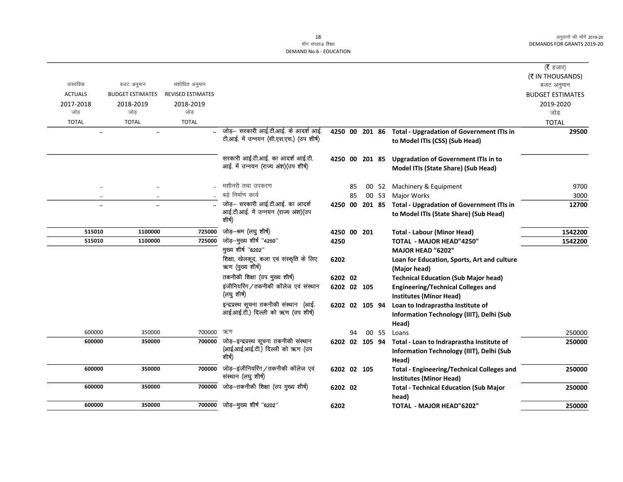|                      |                         |                          |                                                             |                |    |    |       |                                                             | ( $\bar{\tau}$ हजार)    |
|----------------------|-------------------------|--------------------------|-------------------------------------------------------------|----------------|----|----|-------|-------------------------------------------------------------|-------------------------|
|                      |                         |                          |                                                             |                |    |    |       |                                                             | (₹ IN THOUSANDS)        |
| वास्तविक             | बजट अनुमान              | संशोधित अनुमान           |                                                             |                |    |    |       |                                                             | बजट अनुमान              |
| <b>ACTUALS</b>       | <b>BUDGET ESTIMATES</b> | <b>REVISED ESTIMATES</b> |                                                             |                |    |    |       |                                                             | <b>BUDGET ESTIMATES</b> |
| 2017-2018            | 2018-2019               | 2018-2019                |                                                             |                |    |    |       |                                                             | 2019-2020               |
| जोड                  | जोड                     | जोड                      |                                                             |                |    |    |       |                                                             | जोड़                    |
| <b>TOTAL</b>         | <b>TOTAL</b>            | <b>TOTAL</b>             |                                                             |                |    |    |       |                                                             | <b>TOTAL</b>            |
| $\ddot{\phantom{a}}$ | $\ddotsc$               |                          | जोड़– सरकारी आई.टी.आई. के आदर्श आई.                         | 4250 00 201 86 |    |    |       | <b>Total - Upgradation of Government ITIs in</b>            | 29500                   |
|                      |                         |                          | टी.आई. में उन्नयन (सी.एस.एस.) (उप शीर्ष)                    |                |    |    |       | to Model ITIs (CSS) (Sub Head)                              |                         |
|                      |                         |                          | सरकारी आई.टी.आई. का आदर्श आई.टी.                            |                |    |    |       | 4250 00 201 85 Upgradation of Government ITIs in to         |                         |
|                      |                         |                          | आई. में उन्नयन (राज्य अंश)(उप शीर्ष)                        |                |    |    |       | Model ITIs (State Share) (Sub Head)                         |                         |
| $\ddot{\phantom{0}}$ | $\ddotsc$               |                          | मशीनरी तथा उपकरण                                            |                | 85 | 00 | 52    | Machinery & Equipment                                       | 9700                    |
| $\ddot{\phantom{a}}$ | $\ddotsc$               |                          | बडे निर्माण कार्य                                           |                | 85 |    | 00 53 | <b>Major Works</b>                                          | 3000                    |
| $\ddot{\phantom{a}}$ | $\ddotsc$               |                          | जोड़- सरकारी आई.टी.आई. का आदर्श                             | 4250 00 201 85 |    |    |       | <b>Total - Upgradation of Government ITIs in</b>            | 12700                   |
|                      |                         |                          | आई.टी.आई. में उन्नयन (राज्य अंश)(उप<br>शीर्ष)               |                |    |    |       | to Model ITIs (State Share) (Sub Head)                      |                         |
| 515010               | 1100000                 | 725000                   | जोड़-श्रम (लघु शीर्ष)                                       | 4250 00 201    |    |    |       | <b>Total - Labour (Minor Head)</b>                          | 1542200                 |
| 515010               | 1100000                 | 725000                   | जोड़-मुख्य शीर्ष "4250"                                     | 4250           |    |    |       | <b>TOTAL - MAJOR HEAD"4250"</b>                             | 1542200                 |
|                      |                         |                          | मुख्य शीर्ष "6202"                                          |                |    |    |       | <b>MAJOR HEAD "6202"</b>                                    |                         |
|                      |                         |                          | शिक्षा, खेलकूद, कला एवं संस्कृति के लिए<br>ऋण (मुख्य शीर्ष) | 6202           |    |    |       | Loan for Education, Sports, Art and culture<br>(Major head) |                         |
|                      |                         |                          | तकनीकी शिक्षा (उप मुख्य शीर्ष)                              | 6202 02        |    |    |       | <b>Technical Education (Sub Major head)</b>                 |                         |
|                      |                         |                          | इंजीनियरिंग/तकनीकी कॉलेज एवं संस्थान                        | 6202 02 105    |    |    |       | <b>Engineering/Technical Colleges and</b>                   |                         |
|                      |                         |                          | (लघु शीर्ष)                                                 |                |    |    |       | <b>Institutes (Minor Head)</b>                              |                         |
|                      |                         |                          | इन्द्रप्रस्थ सूचना तकनीकी संस्थान (आई.                      | 6202 02 105 94 |    |    |       | Loan to Indraprastha Institute of                           |                         |
|                      |                         |                          | आई.आई.टी.) दिल्ली को ऋण (उप शीर्ष)                          |                |    |    |       | Information Technology (IIIT), Delhi (Sub                   |                         |
|                      |                         |                          |                                                             |                |    |    |       | Head)                                                       |                         |
| 600000               | 350000                  | 700000                   | ऋण                                                          |                | 94 |    | 00 55 | Loans                                                       | 250000                  |
| 600000               | 350000                  | 700000                   | जोड़-इन्द्रप्रस्थ सूचना तकनीकी संस्थान                      | 6202 02 105 94 |    |    |       | Total - Loan to Indraprastha Institute of                   | 250000                  |
|                      |                         |                          | (आई.आई.आई.टी.) दिल्ली को ऋण (उप                             |                |    |    |       | Information Technology (IIIT), Delhi (Sub                   |                         |
|                      |                         |                          | शीर्ष)                                                      |                |    |    |       | Head)                                                       |                         |
| 600000               | 350000                  | 700000                   | जोड़-इंजीनियरिंग/तकनीकी कॉलेज एवं                           | 6202 02 105    |    |    |       | <b>Total - Engineering/Technical Colleges and</b>           | 250000                  |
|                      |                         |                          | संस्थान (लघु शीर्ष)                                         |                |    |    |       | <b>Institutes (Minor Head)</b>                              |                         |
| 600000               | 350000                  | 700000                   | जोड़-तकनीकी शिक्षा (उप मुख्य शीर्ष)                         | 6202 02        |    |    |       | <b>Total - Technical Education (Sub Major</b>               | 250000                  |
|                      |                         |                          |                                                             |                |    |    |       | head)                                                       |                         |
| 600000               | 350000                  | 700000                   | जोड़—मुख्य शीर्ष "6202"                                     | 6202           |    |    |       | <b>TOTAL - MAJOR HEAD"6202"</b>                             | 250000                  |
|                      |                         |                          |                                                             |                |    |    |       |                                                             |                         |